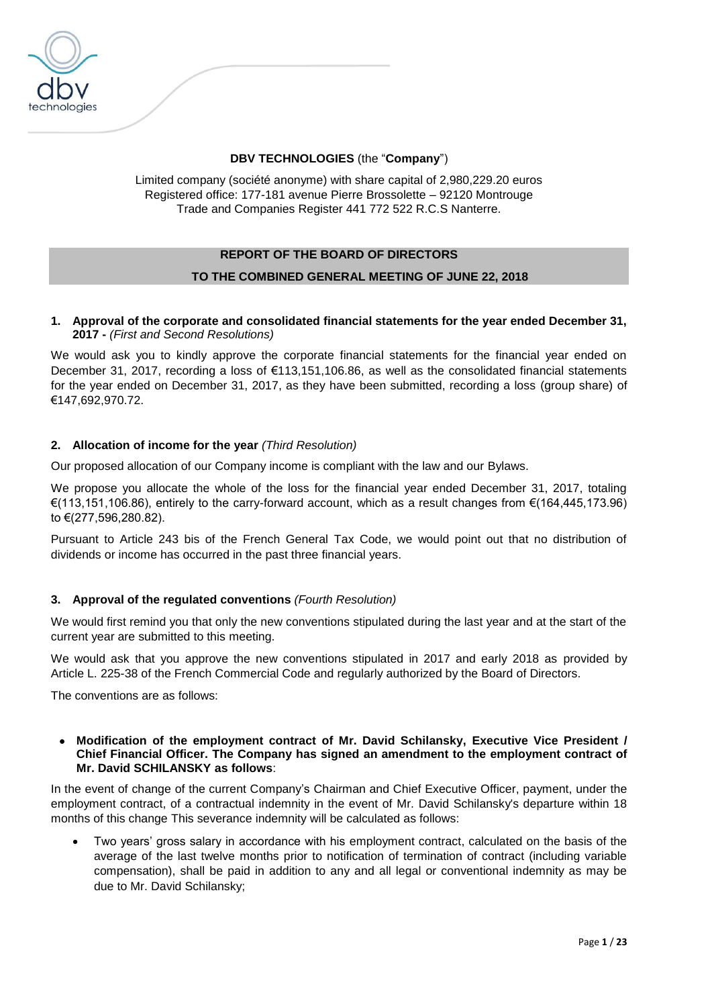

# **DBV TECHNOLOGIES** (the "**Company**")

Limited company (société anonyme) with share capital of 2,980,229.20 euros Registered office: 177-181 avenue Pierre Brossolette – 92120 Montrouge Trade and Companies Register 441 772 522 R.C.S Nanterre.

# **REPORT OF THE BOARD OF DIRECTORS TO THE COMBINED GENERAL MEETING OF JUNE 22, 2018**

### **1. Approval of the corporate and consolidated financial statements for the year ended December 31, 2017 -** *(First and Second Resolutions)*

We would ask you to kindly approve the corporate financial statements for the financial year ended on December 31, 2017, recording a loss of €113,151,106.86, as well as the consolidated financial statements for the year ended on December 31, 2017, as they have been submitted, recording a loss (group share) of €147,692,970.72.

# **2. Allocation of income for the year** *(Third Resolution)*

Our proposed allocation of our Company income is compliant with the law and our Bylaws.

We propose you allocate the whole of the loss for the financial year ended December 31, 2017, totaling €(113,151,106.86), entirely to the carry-forward account, which as a result changes from €(164,445,173.96) to €(277,596,280.82).

Pursuant to Article 243 bis of the French General Tax Code, we would point out that no distribution of dividends or income has occurred in the past three financial years.

# **3. Approval of the regulated conventions** *(Fourth Resolution)*

We would first remind you that only the new conventions stipulated during the last year and at the start of the current year are submitted to this meeting.

We would ask that you approve the new conventions stipulated in 2017 and early 2018 as provided by Article L. 225-38 of the French Commercial Code and regularly authorized by the Board of Directors.

The conventions are as follows:

#### • **Modification of the employment contract of Mr. David Schilansky, Executive Vice President / Chief Financial Officer. The Company has signed an amendment to the employment contract of Mr. David SCHILANSKY as follows**:

In the event of change of the current Company's Chairman and Chief Executive Officer, payment, under the employment contract, of a contractual indemnity in the event of Mr. David Schilansky's departure within 18 months of this change This severance indemnity will be calculated as follows:

• Two years' gross salary in accordance with his employment contract, calculated on the basis of the average of the last twelve months prior to notification of termination of contract (including variable compensation), shall be paid in addition to any and all legal or conventional indemnity as may be due to Mr. David Schilansky;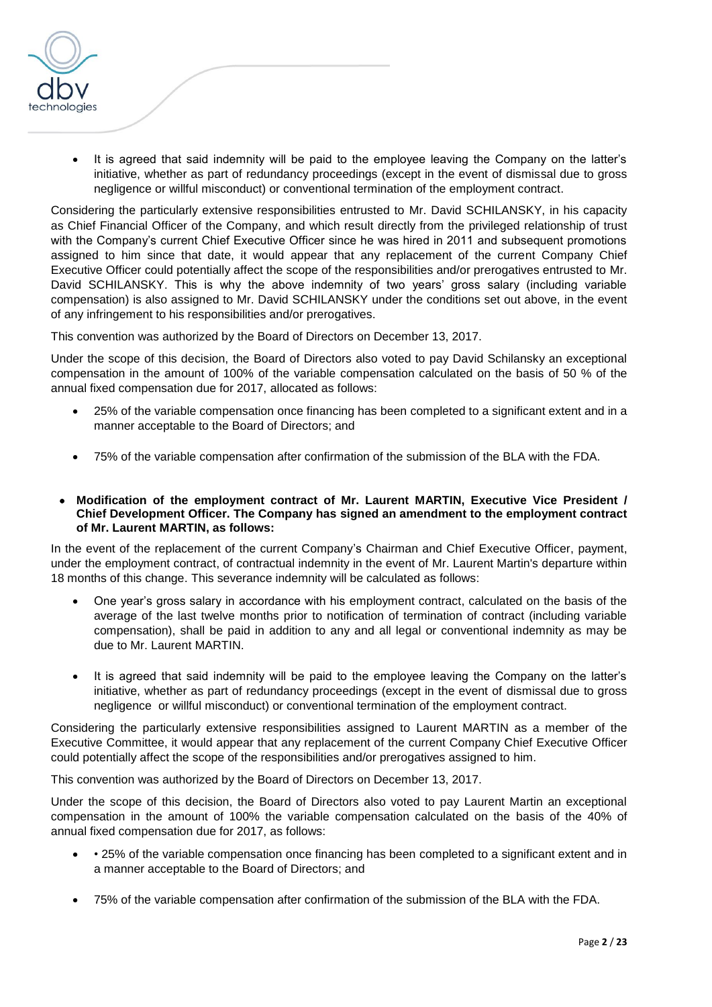

• It is agreed that said indemnity will be paid to the employee leaving the Company on the latter's initiative, whether as part of redundancy proceedings (except in the event of dismissal due to gross negligence or willful misconduct) or conventional termination of the employment contract.

Considering the particularly extensive responsibilities entrusted to Mr. David SCHILANSKY, in his capacity as Chief Financial Officer of the Company, and which result directly from the privileged relationship of trust with the Company's current Chief Executive Officer since he was hired in 2011 and subsequent promotions assigned to him since that date, it would appear that any replacement of the current Company Chief Executive Officer could potentially affect the scope of the responsibilities and/or prerogatives entrusted to Mr. David SCHILANSKY. This is why the above indemnity of two years' gross salary (including variable compensation) is also assigned to Mr. David SCHILANSKY under the conditions set out above, in the event of any infringement to his responsibilities and/or prerogatives.

This convention was authorized by the Board of Directors on December 13, 2017.

Under the scope of this decision, the Board of Directors also voted to pay David Schilansky an exceptional compensation in the amount of 100% of the variable compensation calculated on the basis of 50 % of the annual fixed compensation due for 2017, allocated as follows:

- 25% of the variable compensation once financing has been completed to a significant extent and in a manner acceptable to the Board of Directors; and
- 75% of the variable compensation after confirmation of the submission of the BLA with the FDA.
- **Modification of the employment contract of Mr. Laurent MARTIN, Executive Vice President / Chief Development Officer. The Company has signed an amendment to the employment contract of Mr. Laurent MARTIN, as follows:**

In the event of the replacement of the current Company's Chairman and Chief Executive Officer, payment, under the employment contract, of contractual indemnity in the event of Mr. Laurent Martin's departure within 18 months of this change. This severance indemnity will be calculated as follows:

- One year's gross salary in accordance with his employment contract, calculated on the basis of the average of the last twelve months prior to notification of termination of contract (including variable compensation), shall be paid in addition to any and all legal or conventional indemnity as may be due to Mr. Laurent MARTIN.
- It is agreed that said indemnity will be paid to the employee leaving the Company on the latter's initiative, whether as part of redundancy proceedings (except in the event of dismissal due to gross negligence or willful misconduct) or conventional termination of the employment contract.

Considering the particularly extensive responsibilities assigned to Laurent MARTIN as a member of the Executive Committee, it would appear that any replacement of the current Company Chief Executive Officer could potentially affect the scope of the responsibilities and/or prerogatives assigned to him.

This convention was authorized by the Board of Directors on December 13, 2017.

Under the scope of this decision, the Board of Directors also voted to pay Laurent Martin an exceptional compensation in the amount of 100% the variable compensation calculated on the basis of the 40% of annual fixed compensation due for 2017, as follows:

- • 25% of the variable compensation once financing has been completed to a significant extent and in a manner acceptable to the Board of Directors; and
- 75% of the variable compensation after confirmation of the submission of the BLA with the FDA.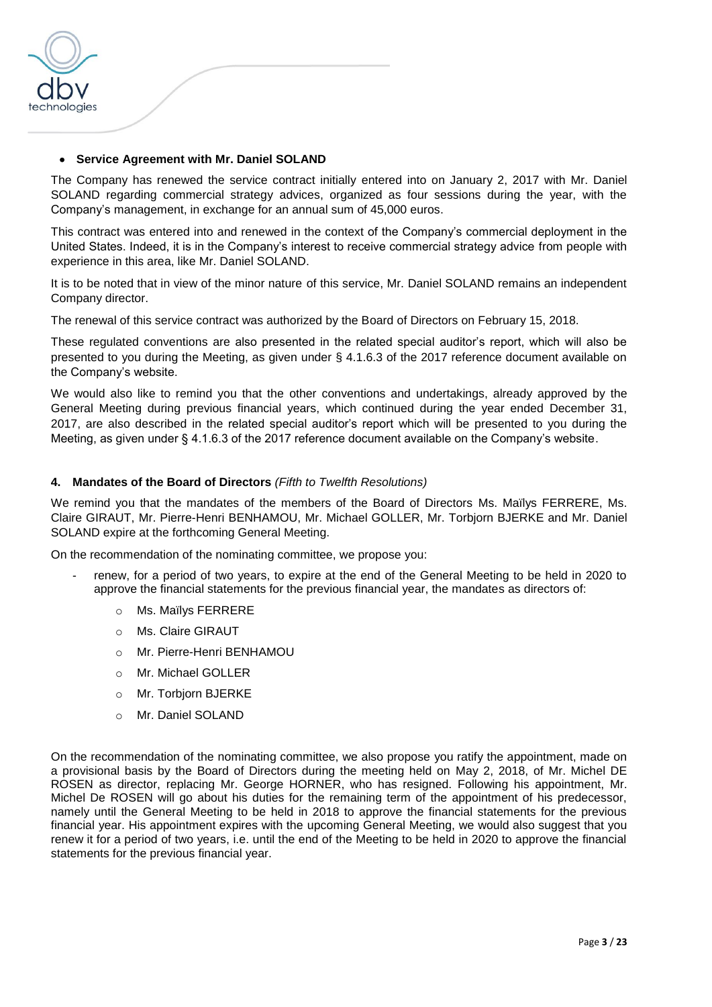

### • **Service Agreement with Mr. Daniel SOLAND**

The Company has renewed the service contract initially entered into on January 2, 2017 with Mr. Daniel SOLAND regarding commercial strategy advices, organized as four sessions during the year, with the Company's management, in exchange for an annual sum of 45,000 euros.

This contract was entered into and renewed in the context of the Company's commercial deployment in the United States. Indeed, it is in the Company's interest to receive commercial strategy advice from people with experience in this area, like Mr. Daniel SOLAND.

It is to be noted that in view of the minor nature of this service, Mr. Daniel SOLAND remains an independent Company director.

The renewal of this service contract was authorized by the Board of Directors on February 15, 2018.

These regulated conventions are also presented in the related special auditor's report, which will also be presented to you during the Meeting, as given under § 4.1.6.3 of the 2017 reference document available on the Company's website.

We would also like to remind you that the other conventions and undertakings, already approved by the General Meeting during previous financial years, which continued during the year ended December 31, 2017, are also described in the related special auditor's report which will be presented to you during the Meeting, as given under § 4.1.6.3 of the 2017 reference document available on the Company's website.

### **4. Mandates of the Board of Directors** *(Fifth to Twelfth Resolutions)*

We remind you that the mandates of the members of the Board of Directors Ms. Maïlys FERRERE, Ms. Claire GIRAUT, Mr. Pierre-Henri BENHAMOU, Mr. Michael GOLLER, Mr. Torbjorn BJERKE and Mr. Daniel SOLAND expire at the forthcoming General Meeting.

On the recommendation of the nominating committee, we propose you:

- renew, for a period of two years, to expire at the end of the General Meeting to be held in 2020 to approve the financial statements for the previous financial year, the mandates as directors of:
	- o Ms. Maïlys FERRERE
	- o Ms. Claire GIRAUT
	- o Mr. Pierre-Henri BENHAMOU
	- o Mr. Michael GOLLER
	- o Mr. Torbjorn BJERKE
	- o Mr. Daniel SOLAND

On the recommendation of the nominating committee, we also propose you ratify the appointment, made on a provisional basis by the Board of Directors during the meeting held on May 2, 2018, of Mr. Michel DE ROSEN as director, replacing Mr. George HORNER, who has resigned. Following his appointment, Mr. Michel De ROSEN will go about his duties for the remaining term of the appointment of his predecessor, namely until the General Meeting to be held in 2018 to approve the financial statements for the previous financial year. His appointment expires with the upcoming General Meeting, we would also suggest that you renew it for a period of two years, i.e. until the end of the Meeting to be held in 2020 to approve the financial statements for the previous financial year.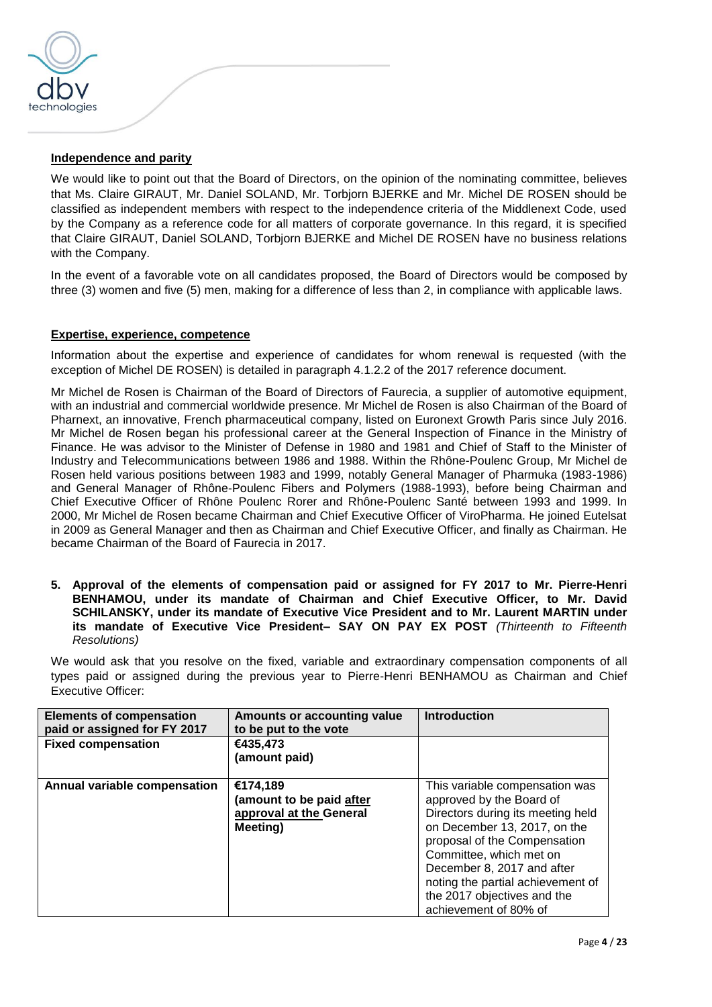

### **Independence and parity**

We would like to point out that the Board of Directors, on the opinion of the nominating committee, believes that Ms. Claire GIRAUT, Mr. Daniel SOLAND, Mr. Torbjorn BJERKE and Mr. Michel DE ROSEN should be classified as independent members with respect to the independence criteria of the Middlenext Code, used by the Company as a reference code for all matters of corporate governance. In this regard, it is specified that Claire GIRAUT, Daniel SOLAND, Torbjorn BJERKE and Michel DE ROSEN have no business relations with the Company.

In the event of a favorable vote on all candidates proposed, the Board of Directors would be composed by three (3) women and five (5) men, making for a difference of less than 2, in compliance with applicable laws.

### **Expertise, experience, competence**

Information about the expertise and experience of candidates for whom renewal is requested (with the exception of Michel DE ROSEN) is detailed in paragraph 4.1.2.2 of the 2017 reference document.

Mr Michel de Rosen is Chairman of the Board of Directors of Faurecia, a supplier of automotive equipment, with an industrial and commercial worldwide presence. Mr Michel de Rosen is also Chairman of the Board of Pharnext, an innovative, French pharmaceutical company, listed on Euronext Growth Paris since July 2016. Mr Michel de Rosen began his professional career at the General Inspection of Finance in the Ministry of Finance. He was advisor to the Minister of Defense in 1980 and 1981 and Chief of Staff to the Minister of Industry and Telecommunications between 1986 and 1988. Within the Rhône-Poulenc Group, Mr Michel de Rosen held various positions between 1983 and 1999, notably General Manager of Pharmuka (1983-1986) and General Manager of Rhône-Poulenc Fibers and Polymers (1988-1993), before being Chairman and Chief Executive Officer of Rhône Poulenc Rorer and Rhône-Poulenc Santé between 1993 and 1999. In 2000, Mr Michel de Rosen became Chairman and Chief Executive Officer of ViroPharma. He joined Eutelsat in 2009 as General Manager and then as Chairman and Chief Executive Officer, and finally as Chairman. He became Chairman of the Board of Faurecia in 2017.

**5. Approval of the elements of compensation paid or assigned for FY 2017 to Mr. Pierre-Henri BENHAMOU, under its mandate of Chairman and Chief Executive Officer, to Mr. David SCHILANSKY, under its mandate of Executive Vice President and to Mr. Laurent MARTIN under its mandate of Executive Vice President– SAY ON PAY EX POST** *(Thirteenth to Fifteenth Resolutions)*

We would ask that you resolve on the fixed, variable and extraordinary compensation components of all types paid or assigned during the previous year to Pierre-Henri BENHAMOU as Chairman and Chief Executive Officer:

| <b>Elements of compensation</b><br>paid or assigned for FY 2017 | Amounts or accounting value<br>to be put to the vote                        | <b>Introduction</b>                                                                                                                                                                                                                                                                                                   |
|-----------------------------------------------------------------|-----------------------------------------------------------------------------|-----------------------------------------------------------------------------------------------------------------------------------------------------------------------------------------------------------------------------------------------------------------------------------------------------------------------|
| <b>Fixed compensation</b>                                       | €435,473<br>(amount paid)                                                   |                                                                                                                                                                                                                                                                                                                       |
| Annual variable compensation                                    | €174,189<br>(amount to be paid after<br>approval at the General<br>Meeting) | This variable compensation was<br>approved by the Board of<br>Directors during its meeting held<br>on December 13, 2017, on the<br>proposal of the Compensation<br>Committee, which met on<br>December 8, 2017 and after<br>noting the partial achievement of<br>the 2017 objectives and the<br>achievement of 80% of |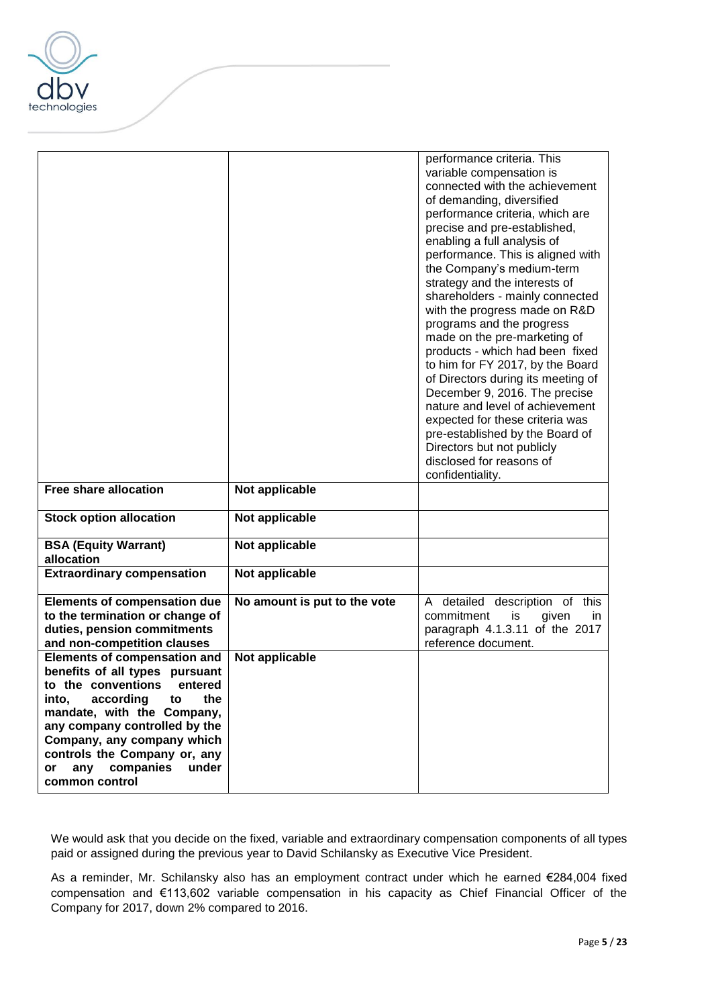

|                                                                                                                                                                                                                                                                                                                          |                              | performance criteria. This<br>variable compensation is<br>connected with the achievement<br>of demanding, diversified<br>performance criteria, which are<br>precise and pre-established,<br>enabling a full analysis of<br>performance. This is aligned with<br>the Company's medium-term<br>strategy and the interests of<br>shareholders - mainly connected<br>with the progress made on R&D<br>programs and the progress<br>made on the pre-marketing of<br>products - which had been fixed<br>to him for FY 2017, by the Board<br>of Directors during its meeting of<br>December 9, 2016. The precise<br>nature and level of achievement<br>expected for these criteria was<br>pre-established by the Board of<br>Directors but not publicly<br>disclosed for reasons of<br>confidentiality. |
|--------------------------------------------------------------------------------------------------------------------------------------------------------------------------------------------------------------------------------------------------------------------------------------------------------------------------|------------------------------|--------------------------------------------------------------------------------------------------------------------------------------------------------------------------------------------------------------------------------------------------------------------------------------------------------------------------------------------------------------------------------------------------------------------------------------------------------------------------------------------------------------------------------------------------------------------------------------------------------------------------------------------------------------------------------------------------------------------------------------------------------------------------------------------------|
| <b>Free share allocation</b>                                                                                                                                                                                                                                                                                             | Not applicable               |                                                                                                                                                                                                                                                                                                                                                                                                                                                                                                                                                                                                                                                                                                                                                                                                  |
| <b>Stock option allocation</b>                                                                                                                                                                                                                                                                                           | Not applicable               |                                                                                                                                                                                                                                                                                                                                                                                                                                                                                                                                                                                                                                                                                                                                                                                                  |
| <b>BSA (Equity Warrant)</b><br>allocation                                                                                                                                                                                                                                                                                | Not applicable               |                                                                                                                                                                                                                                                                                                                                                                                                                                                                                                                                                                                                                                                                                                                                                                                                  |
| <b>Extraordinary compensation</b>                                                                                                                                                                                                                                                                                        | Not applicable               |                                                                                                                                                                                                                                                                                                                                                                                                                                                                                                                                                                                                                                                                                                                                                                                                  |
| <b>Elements of compensation due</b><br>to the termination or change of<br>duties, pension commitments<br>and non-competition clauses                                                                                                                                                                                     | No amount is put to the vote | A detailed description of this<br>commitment<br>is<br>given<br>in.<br>paragraph 4.1.3.11 of the 2017<br>reference document.                                                                                                                                                                                                                                                                                                                                                                                                                                                                                                                                                                                                                                                                      |
| <b>Elements of compensation and</b><br>benefits of all types pursuant<br>to the conventions entered<br>according<br>into,<br>the<br>to<br>mandate, with the Company,<br>any company controlled by the<br>Company, any company which<br>controls the Company or, any<br>companies<br>under<br>any<br>or<br>common control | Not applicable               |                                                                                                                                                                                                                                                                                                                                                                                                                                                                                                                                                                                                                                                                                                                                                                                                  |

We would ask that you decide on the fixed, variable and extraordinary compensation components of all types paid or assigned during the previous year to David Schilansky as Executive Vice President.

As a reminder, Mr. Schilansky also has an employment contract under which he earned €284,004 fixed compensation and €113,602 variable compensation in his capacity as Chief Financial Officer of the Company for 2017, down 2% compared to 2016.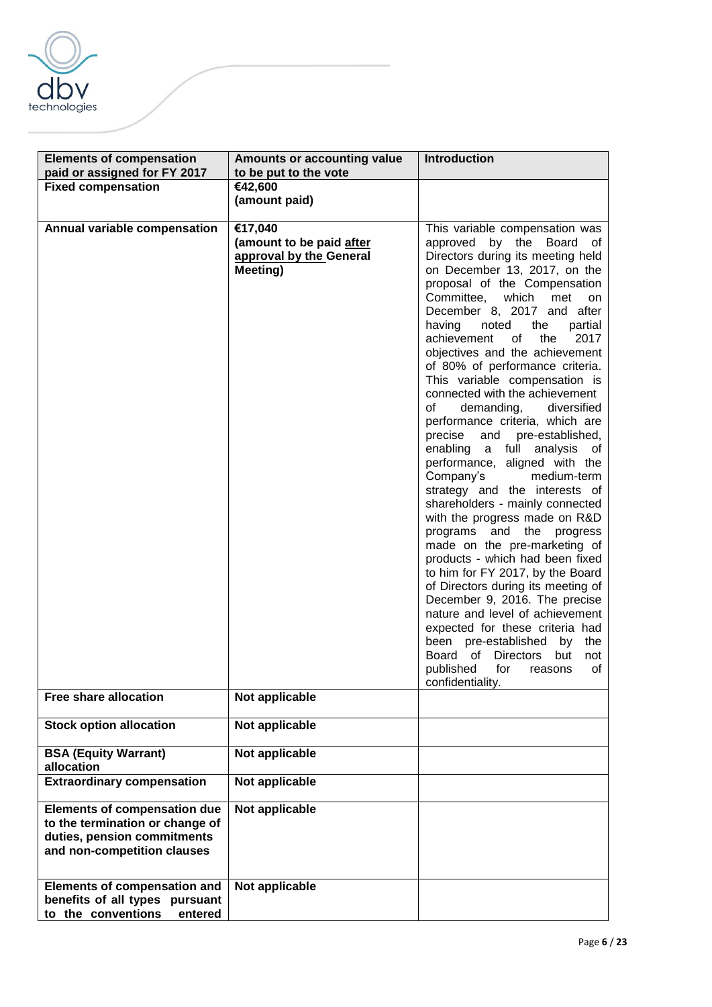

| <b>Elements of compensation</b>     | Amounts or accounting value | <b>Introduction</b>                                                      |
|-------------------------------------|-----------------------------|--------------------------------------------------------------------------|
| paid or assigned for FY 2017        | to be put to the vote       |                                                                          |
| <b>Fixed compensation</b>           | €42,600                     |                                                                          |
|                                     | (amount paid)               |                                                                          |
|                                     | €17,040                     |                                                                          |
| Annual variable compensation        | (amount to be paid after    | This variable compensation was<br>approved by the Board of               |
|                                     | approval by the General     | Directors during its meeting held                                        |
|                                     | Meeting)                    | on December 13, 2017, on the                                             |
|                                     |                             | proposal of the Compensation                                             |
|                                     |                             | Committee, which met<br>on                                               |
|                                     |                             | December 8, 2017 and after                                               |
|                                     |                             | having<br>noted<br>the<br>partial                                        |
|                                     |                             | achievement<br>2017<br>of<br>the                                         |
|                                     |                             | objectives and the achievement                                           |
|                                     |                             | of 80% of performance criteria.                                          |
|                                     |                             | This variable compensation is<br>connected with the achievement          |
|                                     |                             | demanding,<br>of<br>diversified                                          |
|                                     |                             | performance criteria, which are                                          |
|                                     |                             | precise and pre-established,                                             |
|                                     |                             | enabling a full analysis of                                              |
|                                     |                             | performance, aligned with the                                            |
|                                     |                             | Company's<br>medium-term                                                 |
|                                     |                             | strategy and the interests of                                            |
|                                     |                             | shareholders - mainly connected                                          |
|                                     |                             | with the progress made on R&D<br>programs and the progress               |
|                                     |                             | made on the pre-marketing of                                             |
|                                     |                             | products - which had been fixed                                          |
|                                     |                             | to him for FY 2017, by the Board                                         |
|                                     |                             | of Directors during its meeting of                                       |
|                                     |                             | December 9, 2016. The precise                                            |
|                                     |                             | nature and level of achievement                                          |
|                                     |                             | expected for these criteria had                                          |
|                                     |                             | been pre-established<br>the<br>by<br>Board of<br>Directors<br>but<br>not |
|                                     |                             | published<br>for<br>οf<br>reasons                                        |
|                                     |                             | confidentiality.                                                         |
| <b>Free share allocation</b>        | Not applicable              |                                                                          |
|                                     |                             |                                                                          |
| <b>Stock option allocation</b>      | Not applicable              |                                                                          |
| <b>BSA (Equity Warrant)</b>         | Not applicable              |                                                                          |
| allocation                          |                             |                                                                          |
| <b>Extraordinary compensation</b>   | Not applicable              |                                                                          |
| <b>Elements of compensation due</b> | Not applicable              |                                                                          |
| to the termination or change of     |                             |                                                                          |
| duties, pension commitments         |                             |                                                                          |
| and non-competition clauses         |                             |                                                                          |
|                                     |                             |                                                                          |
| <b>Elements of compensation and</b> | Not applicable              |                                                                          |
| benefits of all types pursuant      |                             |                                                                          |
| to the conventions<br>entered       |                             |                                                                          |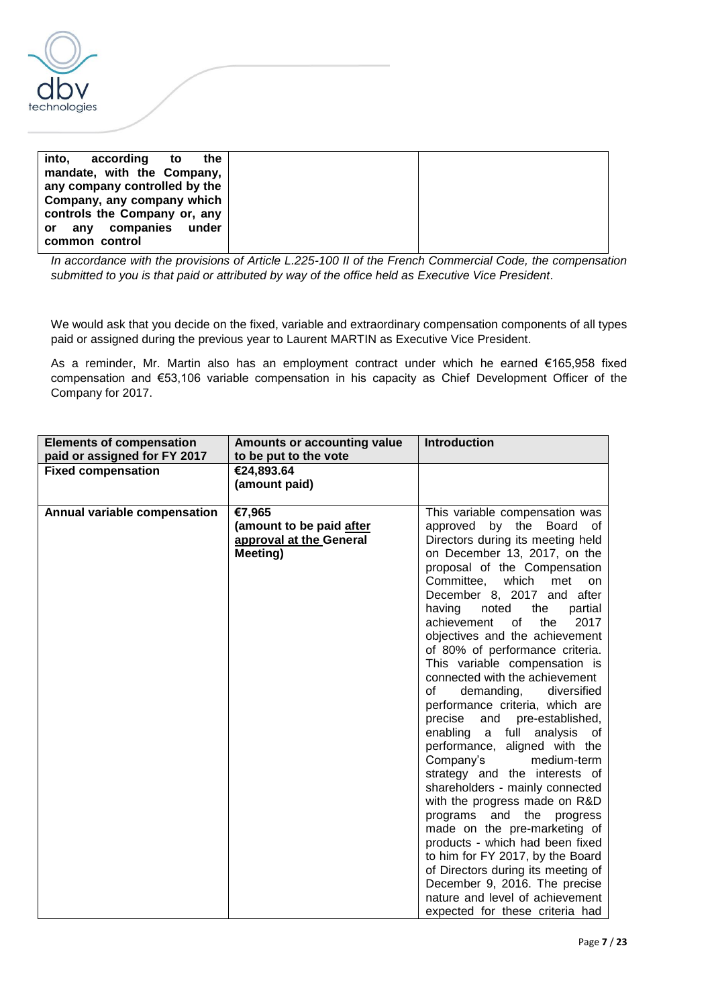

| into,<br>according<br>the<br>to     |  |
|-------------------------------------|--|
| mandate, with the Company,          |  |
| any company controlled by the       |  |
| Company, any company which          |  |
| controls the Company or, any        |  |
| companies under<br>anv<br><b>or</b> |  |
| common control                      |  |

*In accordance with the provisions of Article L.225-100 II of the French Commercial Code, the compensation submitted to you is that paid or attributed by way of the office held as Executive Vice President*.

We would ask that you decide on the fixed, variable and extraordinary compensation components of all types paid or assigned during the previous year to Laurent MARTIN as Executive Vice President.

As a reminder, Mr. Martin also has an employment contract under which he earned €165,958 fixed compensation and €53,106 variable compensation in his capacity as Chief Development Officer of the Company for 2017.

| <b>Elements of compensation</b> | Amounts or accounting value | <b>Introduction</b>                  |
|---------------------------------|-----------------------------|--------------------------------------|
| paid or assigned for FY 2017    | to be put to the vote       |                                      |
| <b>Fixed compensation</b>       | €24,893.64                  |                                      |
|                                 | (amount paid)               |                                      |
|                                 |                             |                                      |
| Annual variable compensation    | €7,965                      | This variable compensation was       |
|                                 | (amount to be paid after    | by<br>the<br>approved<br>Board of    |
|                                 | approval at the General     | Directors during its meeting held    |
|                                 | Meeting)                    | on December 13, 2017, on the         |
|                                 |                             | proposal of the Compensation         |
|                                 |                             | Committee, which<br>met<br><b>on</b> |
|                                 |                             | December 8, 2017 and after           |
|                                 |                             | having<br>noted<br>the<br>partial    |
|                                 |                             | of<br>achievement<br>the<br>2017     |
|                                 |                             | objectives and the achievement       |
|                                 |                             | of 80% of performance criteria.      |
|                                 |                             | This variable compensation is        |
|                                 |                             | connected with the achievement       |
|                                 |                             | demanding, diversified<br>of         |
|                                 |                             | performance criteria, which are      |
|                                 |                             | and pre-established,<br>precise      |
|                                 |                             | a full<br>enabling<br>analysis of    |
|                                 |                             | performance, aligned with the        |
|                                 |                             | medium-term<br>Company's             |
|                                 |                             | strategy and the interests of        |
|                                 |                             | shareholders - mainly connected      |
|                                 |                             | with the progress made on R&D        |
|                                 |                             | programs and the progress            |
|                                 |                             | made on the pre-marketing of         |
|                                 |                             | products - which had been fixed      |
|                                 |                             | to him for FY 2017, by the Board     |
|                                 |                             | of Directors during its meeting of   |
|                                 |                             | December 9, 2016. The precise        |
|                                 |                             | nature and level of achievement      |
|                                 |                             | expected for these criteria had      |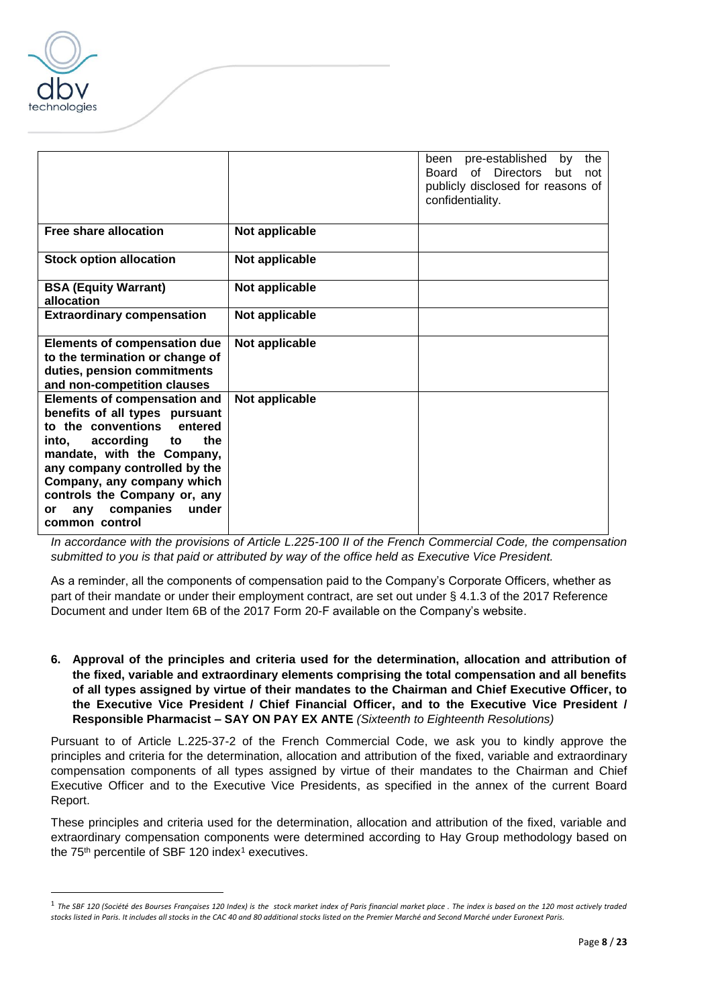

 $\overline{a}$ 

|                                                                                                                                                                                                                                                                                                                             |                | pre-established<br>been<br>the<br>by<br>of Directors<br>Board<br>but<br>not<br>publicly disclosed for reasons of<br>confidentiality. |
|-----------------------------------------------------------------------------------------------------------------------------------------------------------------------------------------------------------------------------------------------------------------------------------------------------------------------------|----------------|--------------------------------------------------------------------------------------------------------------------------------------|
| Free share allocation                                                                                                                                                                                                                                                                                                       | Not applicable |                                                                                                                                      |
| <b>Stock option allocation</b>                                                                                                                                                                                                                                                                                              | Not applicable |                                                                                                                                      |
| <b>BSA (Equity Warrant)</b><br>allocation                                                                                                                                                                                                                                                                                   | Not applicable |                                                                                                                                      |
| <b>Extraordinary compensation</b>                                                                                                                                                                                                                                                                                           | Not applicable |                                                                                                                                      |
| <b>Elements of compensation due</b><br>to the termination or change of<br>duties, pension commitments<br>and non-competition clauses                                                                                                                                                                                        | Not applicable |                                                                                                                                      |
| <b>Elements of compensation and</b><br>benefits of all types pursuant<br>to the conventions<br>entered<br>the<br>according<br>into,<br>to<br>mandate, with the Company,<br>any company controlled by the<br>Company, any company which<br>controls the Company or, any<br>companies<br>under<br>any<br>or<br>common control | Not applicable |                                                                                                                                      |

*In accordance with the provisions of Article L.225-100 II of the French Commercial Code, the compensation submitted to you is that paid or attributed by way of the office held as Executive Vice President.*

As a reminder, all the components of compensation paid to the Company's Corporate Officers, whether as part of their mandate or under their employment contract, are set out under § 4.1.3 of the 2017 Reference Document and under Item 6B of the 2017 Form 20-F available on the Company's website.

**6. Approval of the principles and criteria used for the determination, allocation and attribution of the fixed, variable and extraordinary elements comprising the total compensation and all benefits of all types assigned by virtue of their mandates to the Chairman and Chief Executive Officer, to the Executive Vice President / Chief Financial Officer, and to the Executive Vice President / Responsible Pharmacist – SAY ON PAY EX ANTE** *(Sixteenth to Eighteenth Resolutions)*

Pursuant to of Article L.225-37-2 of the French Commercial Code, we ask you to kindly approve the principles and criteria for the determination, allocation and attribution of the fixed, variable and extraordinary compensation components of all types assigned by virtue of their mandates to the Chairman and Chief Executive Officer and to the Executive Vice Presidents, as specified in the annex of the current Board Report.

These principles and criteria used for the determination, allocation and attribution of the fixed, variable and extraordinary compensation components were determined according to Hay Group methodology based on the 75<sup>th</sup> percentile of SBF 120 index<sup>1</sup> executives.

<sup>1</sup> *The SBF 120 (Société des Bourses Françaises 120 Index) is the [stock market index](https://en.wikipedia.org/wiki/Stock_market_index) of Paris financial market place . The index is based on the 120 most actively traded stocks listed i[n Paris.](https://en.wikipedia.org/wiki/Paris) It includes all stocks in th[e CAC 40](https://en.wikipedia.org/wiki/CAC_40) and 80 additional stocks listed on the Premier Marché and Second Marché unde[r Euronext Paris.](https://en.wikipedia.org/wiki/Euronext_Paris)*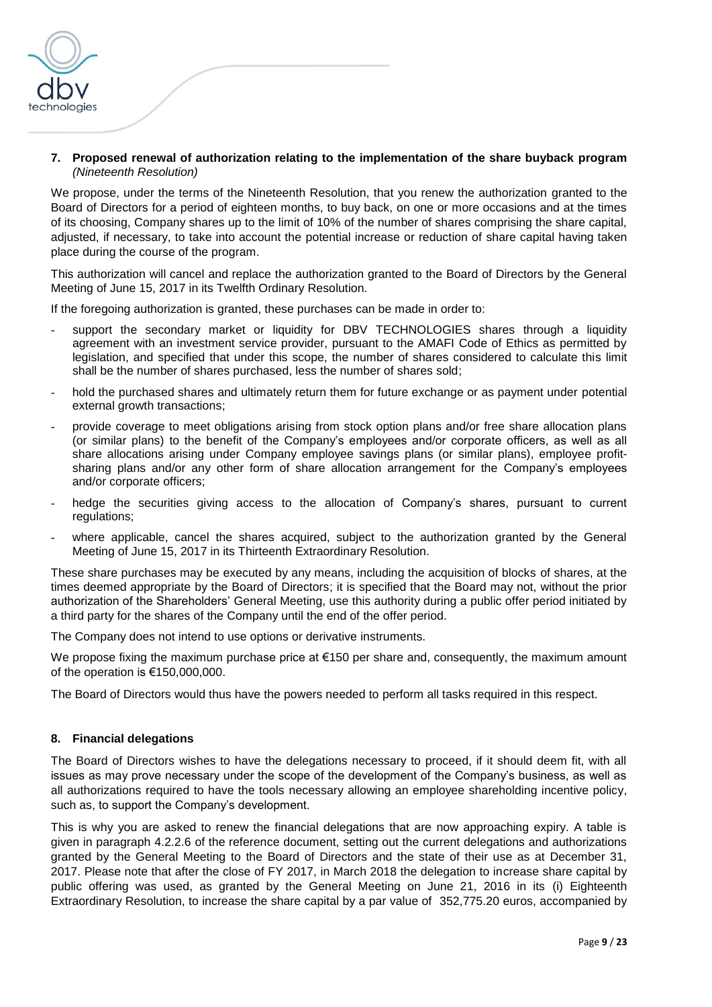

#### **7. Proposed renewal of authorization relating to the implementation of the share buyback program**  *(Nineteenth Resolution)*

We propose, under the terms of the Nineteenth Resolution, that you renew the authorization granted to the Board of Directors for a period of eighteen months, to buy back, on one or more occasions and at the times of its choosing, Company shares up to the limit of 10% of the number of shares comprising the share capital, adjusted, if necessary, to take into account the potential increase or reduction of share capital having taken place during the course of the program.

This authorization will cancel and replace the authorization granted to the Board of Directors by the General Meeting of June 15, 2017 in its Twelfth Ordinary Resolution.

If the foregoing authorization is granted, these purchases can be made in order to:

- support the secondary market or liquidity for DBV TECHNOLOGIES shares through a liquidity agreement with an investment service provider, pursuant to the AMAFI Code of Ethics as permitted by legislation, and specified that under this scope, the number of shares considered to calculate this limit shall be the number of shares purchased, less the number of shares sold;
- hold the purchased shares and ultimately return them for future exchange or as payment under potential external growth transactions;
- provide coverage to meet obligations arising from stock option plans and/or free share allocation plans (or similar plans) to the benefit of the Company's employees and/or corporate officers, as well as all share allocations arising under Company employee savings plans (or similar plans), employee profitsharing plans and/or any other form of share allocation arrangement for the Company's employees and/or corporate officers;
- hedge the securities giving access to the allocation of Company's shares, pursuant to current regulations;
- where applicable, cancel the shares acquired, subject to the authorization granted by the General Meeting of June 15, 2017 in its Thirteenth Extraordinary Resolution.

These share purchases may be executed by any means, including the acquisition of blocks of shares, at the times deemed appropriate by the Board of Directors; it is specified that the Board may not, without the prior authorization of the Shareholders' General Meeting, use this authority during a public offer period initiated by a third party for the shares of the Company until the end of the offer period.

The Company does not intend to use options or derivative instruments.

We propose fixing the maximum purchase price at €150 per share and, consequently, the maximum amount of the operation is €150,000,000.

The Board of Directors would thus have the powers needed to perform all tasks required in this respect.

#### **8. Financial delegations**

The Board of Directors wishes to have the delegations necessary to proceed, if it should deem fit, with all issues as may prove necessary under the scope of the development of the Company's business, as well as all authorizations required to have the tools necessary allowing an employee shareholding incentive policy, such as, to support the Company's development.

This is why you are asked to renew the financial delegations that are now approaching expiry. A table is given in paragraph 4.2.2.6 of the reference document, setting out the current delegations and authorizations granted by the General Meeting to the Board of Directors and the state of their use as at December 31, 2017. Please note that after the close of FY 2017, in March 2018 the delegation to increase share capital by public offering was used, as granted by the General Meeting on June 21, 2016 in its (i) Eighteenth Extraordinary Resolution, to increase the share capital by a par value of 352,775.20 euros, accompanied by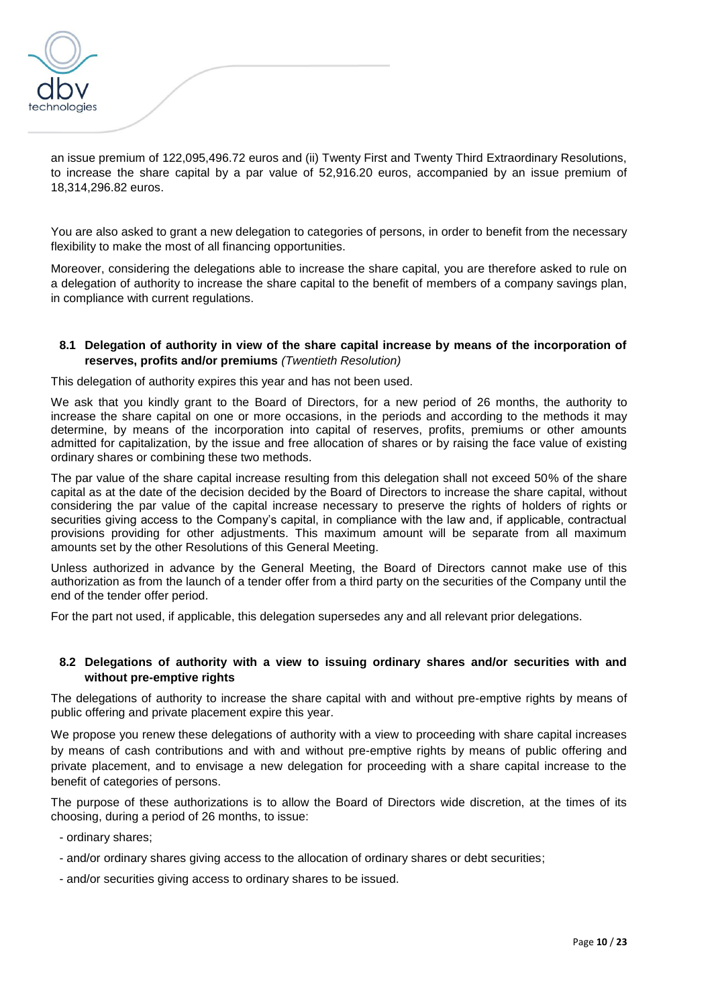

an issue premium of 122,095,496.72 euros and (ii) Twenty First and Twenty Third Extraordinary Resolutions, to increase the share capital by a par value of 52,916.20 euros, accompanied by an issue premium of 18,314,296.82 euros.

You are also asked to grant a new delegation to categories of persons, in order to benefit from the necessary flexibility to make the most of all financing opportunities.

Moreover, considering the delegations able to increase the share capital, you are therefore asked to rule on a delegation of authority to increase the share capital to the benefit of members of a company savings plan, in compliance with current regulations.

### **8.1 Delegation of authority in view of the share capital increase by means of the incorporation of reserves, profits and/or premiums** *(Twentieth Resolution)*

This delegation of authority expires this year and has not been used.

We ask that you kindly grant to the Board of Directors, for a new period of 26 months, the authority to increase the share capital on one or more occasions, in the periods and according to the methods it may determine, by means of the incorporation into capital of reserves, profits, premiums or other amounts admitted for capitalization, by the issue and free allocation of shares or by raising the face value of existing ordinary shares or combining these two methods.

The par value of the share capital increase resulting from this delegation shall not exceed 50% of the share capital as at the date of the decision decided by the Board of Directors to increase the share capital, without considering the par value of the capital increase necessary to preserve the rights of holders of rights or securities giving access to the Company's capital, in compliance with the law and, if applicable, contractual provisions providing for other adjustments. This maximum amount will be separate from all maximum amounts set by the other Resolutions of this General Meeting.

Unless authorized in advance by the General Meeting, the Board of Directors cannot make use of this authorization as from the launch of a tender offer from a third party on the securities of the Company until the end of the tender offer period.

For the part not used, if applicable, this delegation supersedes any and all relevant prior delegations.

### **8.2 Delegations of authority with a view to issuing ordinary shares and/or securities with and without pre-emptive rights**

The delegations of authority to increase the share capital with and without pre-emptive rights by means of public offering and private placement expire this year.

We propose you renew these delegations of authority with a view to proceeding with share capital increases by means of cash contributions and with and without pre-emptive rights by means of public offering and private placement, and to envisage a new delegation for proceeding with a share capital increase to the benefit of categories of persons.

The purpose of these authorizations is to allow the Board of Directors wide discretion, at the times of its choosing, during a period of 26 months, to issue:

- ordinary shares;
- and/or ordinary shares giving access to the allocation of ordinary shares or debt securities;
- and/or securities giving access to ordinary shares to be issued.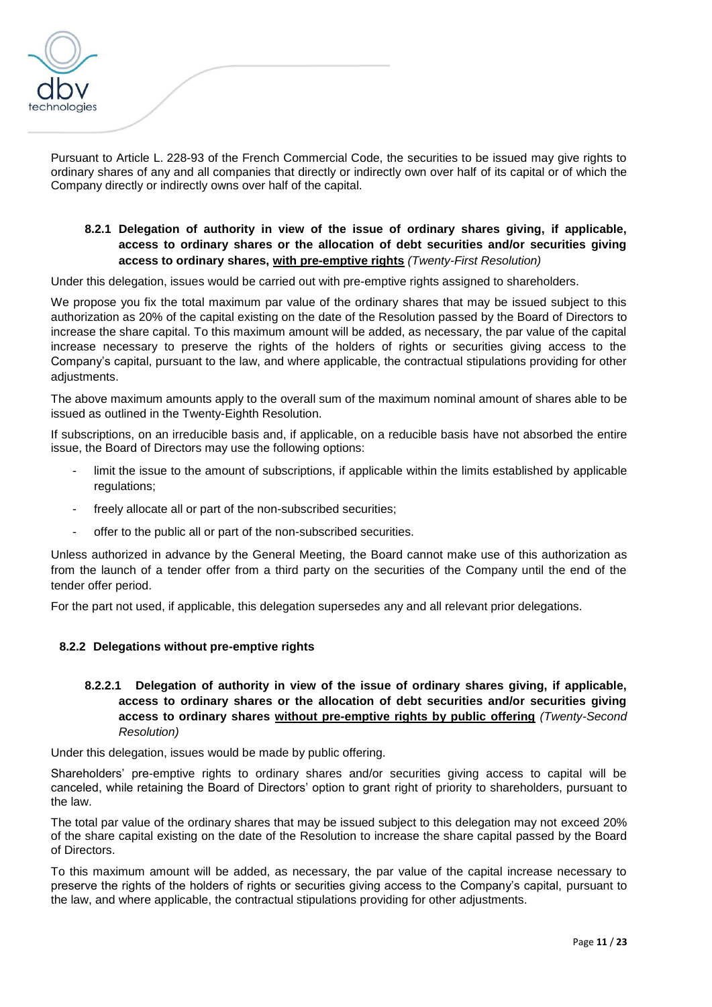

Pursuant to Article L. 228-93 of the French Commercial Code, the securities to be issued may give rights to ordinary shares of any and all companies that directly or indirectly own over half of its capital or of which the Company directly or indirectly owns over half of the capital.

# **8.2.1 Delegation of authority in view of the issue of ordinary shares giving, if applicable, access to ordinary shares or the allocation of debt securities and/or securities giving access to ordinary shares, with pre-emptive rights** *(Twenty-First Resolution)*

Under this delegation, issues would be carried out with pre-emptive rights assigned to shareholders.

We propose you fix the total maximum par value of the ordinary shares that may be issued subject to this authorization as 20% of the capital existing on the date of the Resolution passed by the Board of Directors to increase the share capital. To this maximum amount will be added, as necessary, the par value of the capital increase necessary to preserve the rights of the holders of rights or securities giving access to the Company's capital, pursuant to the law, and where applicable, the contractual stipulations providing for other adjustments.

The above maximum amounts apply to the overall sum of the maximum nominal amount of shares able to be issued as outlined in the Twenty-Eighth Resolution.

If subscriptions, on an irreducible basis and, if applicable, on a reducible basis have not absorbed the entire issue, the Board of Directors may use the following options:

- limit the issue to the amount of subscriptions, if applicable within the limits established by applicable regulations;
- freely allocate all or part of the non-subscribed securities;
- offer to the public all or part of the non-subscribed securities.

Unless authorized in advance by the General Meeting, the Board cannot make use of this authorization as from the launch of a tender offer from a third party on the securities of the Company until the end of the tender offer period.

For the part not used, if applicable, this delegation supersedes any and all relevant prior delegations.

# **8.2.2 Delegations without pre-emptive rights**

**8.2.2.1 Delegation of authority in view of the issue of ordinary shares giving, if applicable, access to ordinary shares or the allocation of debt securities and/or securities giving access to ordinary shares without pre-emptive rights by public offering** *(Twenty-Second Resolution)*

Under this delegation, issues would be made by public offering.

Shareholders' pre-emptive rights to ordinary shares and/or securities giving access to capital will be canceled, while retaining the Board of Directors' option to grant right of priority to shareholders, pursuant to the law.

The total par value of the ordinary shares that may be issued subject to this delegation may not exceed 20% of the share capital existing on the date of the Resolution to increase the share capital passed by the Board of Directors.

To this maximum amount will be added, as necessary, the par value of the capital increase necessary to preserve the rights of the holders of rights or securities giving access to the Company's capital, pursuant to the law, and where applicable, the contractual stipulations providing for other adjustments.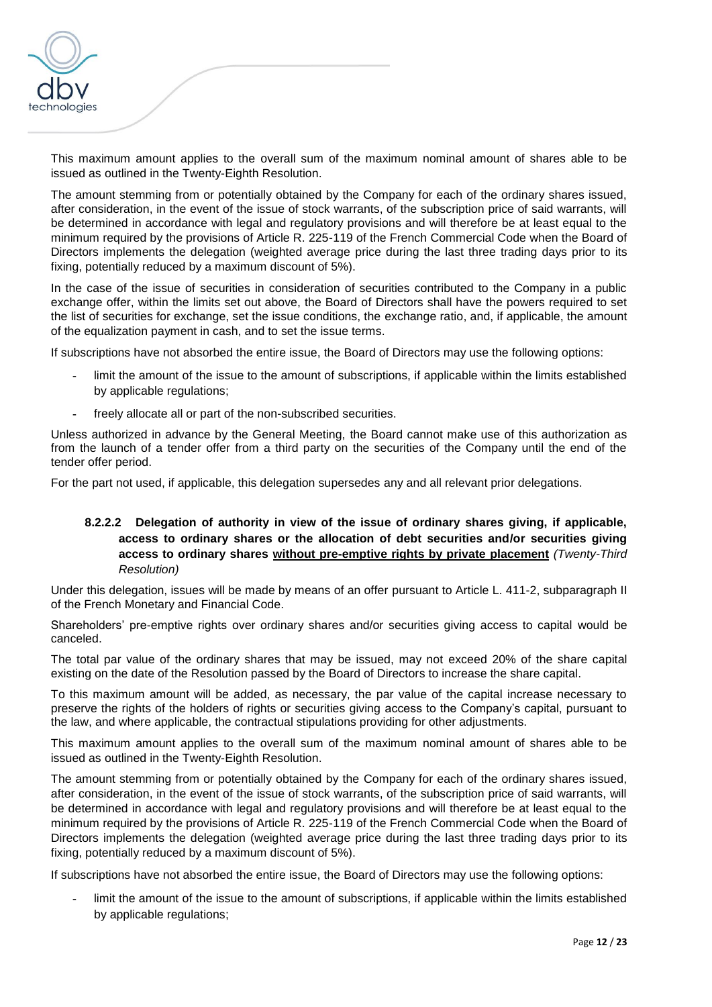

This maximum amount applies to the overall sum of the maximum nominal amount of shares able to be issued as outlined in the Twenty-Eighth Resolution.

The amount stemming from or potentially obtained by the Company for each of the ordinary shares issued, after consideration, in the event of the issue of stock warrants, of the subscription price of said warrants, will be determined in accordance with legal and regulatory provisions and will therefore be at least equal to the minimum required by the provisions of Article R. 225-119 of the French Commercial Code when the Board of Directors implements the delegation (weighted average price during the last three trading days prior to its fixing, potentially reduced by a maximum discount of 5%).

In the case of the issue of securities in consideration of securities contributed to the Company in a public exchange offer, within the limits set out above, the Board of Directors shall have the powers required to set the list of securities for exchange, set the issue conditions, the exchange ratio, and, if applicable, the amount of the equalization payment in cash, and to set the issue terms.

If subscriptions have not absorbed the entire issue, the Board of Directors may use the following options:

- **-** limit the amount of the issue to the amount of subscriptions, if applicable within the limits established by applicable regulations;
- **-** freely allocate all or part of the non-subscribed securities.

Unless authorized in advance by the General Meeting, the Board cannot make use of this authorization as from the launch of a tender offer from a third party on the securities of the Company until the end of the tender offer period.

For the part not used, if applicable, this delegation supersedes any and all relevant prior delegations.

# **8.2.2.2 Delegation of authority in view of the issue of ordinary shares giving, if applicable, access to ordinary shares or the allocation of debt securities and/or securities giving access to ordinary shares without pre-emptive rights by private placement** *(Twenty-Third Resolution)*

Under this delegation, issues will be made by means of an offer pursuant to Article L. 411-2, subparagraph II of the French Monetary and Financial Code.

Shareholders' pre-emptive rights over ordinary shares and/or securities giving access to capital would be canceled.

The total par value of the ordinary shares that may be issued, may not exceed 20% of the share capital existing on the date of the Resolution passed by the Board of Directors to increase the share capital.

To this maximum amount will be added, as necessary, the par value of the capital increase necessary to preserve the rights of the holders of rights or securities giving access to the Company's capital, pursuant to the law, and where applicable, the contractual stipulations providing for other adjustments.

This maximum amount applies to the overall sum of the maximum nominal amount of shares able to be issued as outlined in the Twenty-Eighth Resolution.

The amount stemming from or potentially obtained by the Company for each of the ordinary shares issued, after consideration, in the event of the issue of stock warrants, of the subscription price of said warrants, will be determined in accordance with legal and regulatory provisions and will therefore be at least equal to the minimum required by the provisions of Article R. 225-119 of the French Commercial Code when the Board of Directors implements the delegation (weighted average price during the last three trading days prior to its fixing, potentially reduced by a maximum discount of 5%).

If subscriptions have not absorbed the entire issue, the Board of Directors may use the following options:

**-** limit the amount of the issue to the amount of subscriptions, if applicable within the limits established by applicable regulations;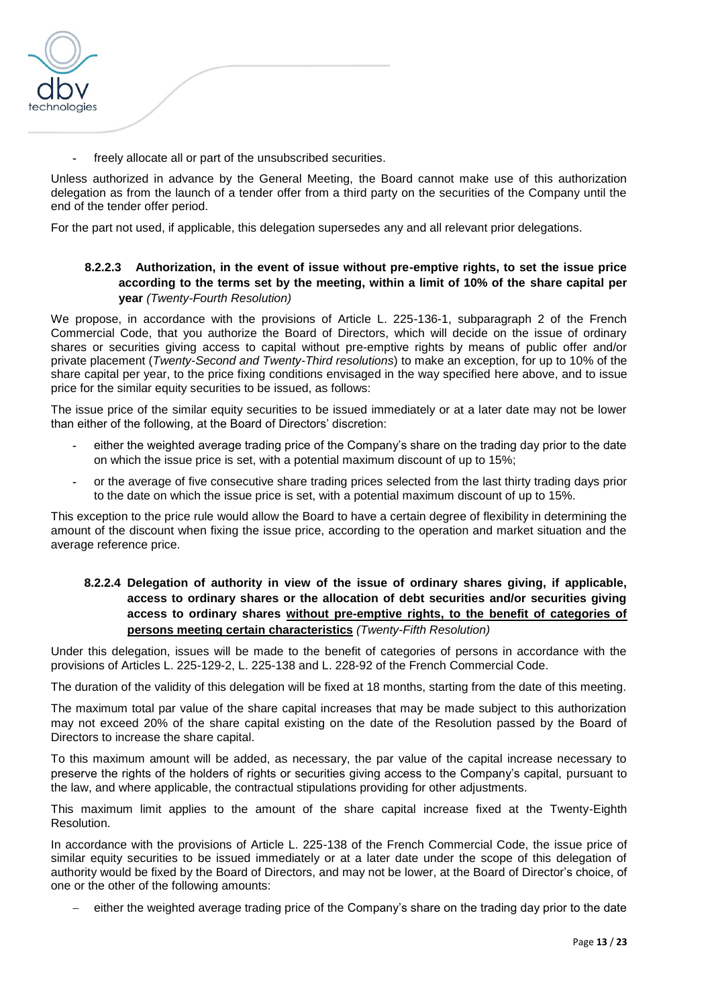

**-** freely allocate all or part of the unsubscribed securities.

Unless authorized in advance by the General Meeting, the Board cannot make use of this authorization delegation as from the launch of a tender offer from a third party on the securities of the Company until the end of the tender offer period.

For the part not used, if applicable, this delegation supersedes any and all relevant prior delegations.

# **8.2.2.3 Authorization, in the event of issue without pre-emptive rights, to set the issue price according to the terms set by the meeting, within a limit of 10% of the share capital per year** *(Twenty-Fourth Resolution)*

We propose, in accordance with the provisions of Article L. 225-136-1, subparagraph 2 of the French Commercial Code, that you authorize the Board of Directors, which will decide on the issue of ordinary shares or securities giving access to capital without pre-emptive rights by means of public offer and/or private placement (*Twenty-Second and Twenty-Third resolutions*) to make an exception, for up to 10% of the share capital per year, to the price fixing conditions envisaged in the way specified here above, and to issue price for the similar equity securities to be issued, as follows:

The issue price of the similar equity securities to be issued immediately or at a later date may not be lower than either of the following, at the Board of Directors' discretion:

- **-** either the weighted average trading price of the Company's share on the trading day prior to the date on which the issue price is set, with a potential maximum discount of up to 15%;
- **-** or the average of five consecutive share trading prices selected from the last thirty trading days prior to the date on which the issue price is set, with a potential maximum discount of up to 15%.

This exception to the price rule would allow the Board to have a certain degree of flexibility in determining the amount of the discount when fixing the issue price, according to the operation and market situation and the average reference price.

# **8.2.2.4 Delegation of authority in view of the issue of ordinary shares giving, if applicable, access to ordinary shares or the allocation of debt securities and/or securities giving access to ordinary shares without pre-emptive rights, to the benefit of categories of persons meeting certain characteristics** *(Twenty-Fifth Resolution)*

Under this delegation, issues will be made to the benefit of categories of persons in accordance with the provisions of Articles L. 225-129-2, L. 225-138 and L. 228-92 of the French Commercial Code.

The duration of the validity of this delegation will be fixed at 18 months, starting from the date of this meeting.

The maximum total par value of the share capital increases that may be made subject to this authorization may not exceed 20% of the share capital existing on the date of the Resolution passed by the Board of Directors to increase the share capital.

To this maximum amount will be added, as necessary, the par value of the capital increase necessary to preserve the rights of the holders of rights or securities giving access to the Company's capital, pursuant to the law, and where applicable, the contractual stipulations providing for other adjustments.

This maximum limit applies to the amount of the share capital increase fixed at the Twenty-Eighth Resolution.

In accordance with the provisions of Article L. 225-138 of the French Commercial Code, the issue price of similar equity securities to be issued immediately or at a later date under the scope of this delegation of authority would be fixed by the Board of Directors, and may not be lower, at the Board of Director's choice, of one or the other of the following amounts:

either the weighted average trading price of the Company's share on the trading day prior to the date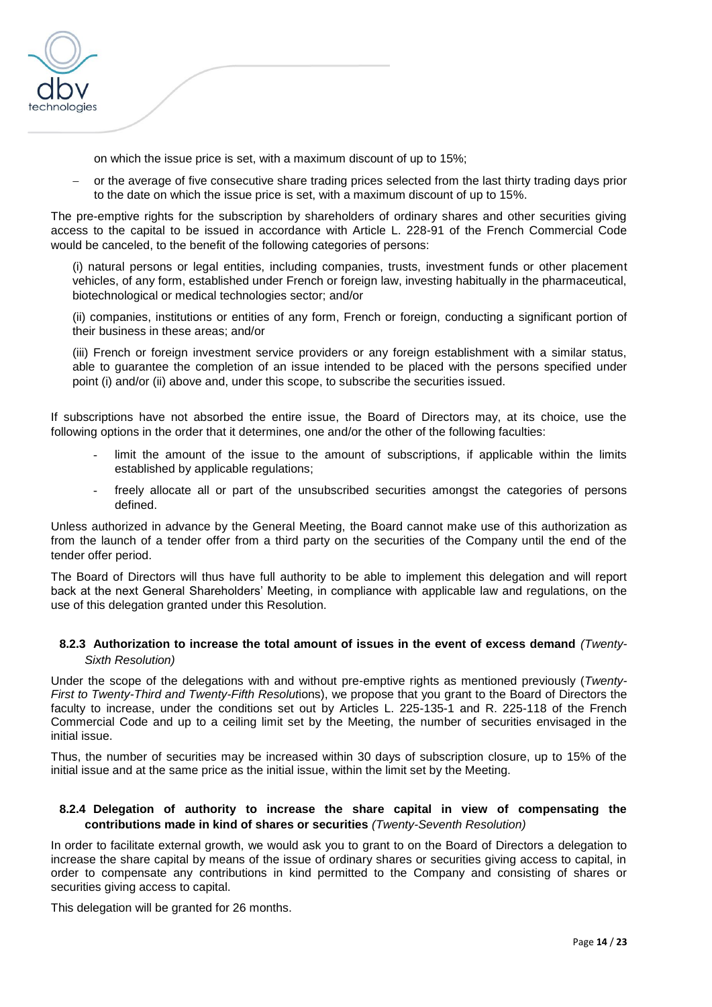

on which the issue price is set, with a maximum discount of up to 15%;

 or the average of five consecutive share trading prices selected from the last thirty trading days prior to the date on which the issue price is set, with a maximum discount of up to 15%.

The pre-emptive rights for the subscription by shareholders of ordinary shares and other securities giving access to the capital to be issued in accordance with Article L. 228-91 of the French Commercial Code would be canceled, to the benefit of the following categories of persons:

(i) natural persons or legal entities, including companies, trusts, investment funds or other placement vehicles, of any form, established under French or foreign law, investing habitually in the pharmaceutical, biotechnological or medical technologies sector; and/or

(ii) companies, institutions or entities of any form, French or foreign, conducting a significant portion of their business in these areas; and/or

(iii) French or foreign investment service providers or any foreign establishment with a similar status, able to guarantee the completion of an issue intended to be placed with the persons specified under point (i) and/or (ii) above and, under this scope, to subscribe the securities issued.

If subscriptions have not absorbed the entire issue, the Board of Directors may, at its choice, use the following options in the order that it determines, one and/or the other of the following faculties:

- limit the amount of the issue to the amount of subscriptions, if applicable within the limits established by applicable regulations;
- freely allocate all or part of the unsubscribed securities amongst the categories of persons defined.

Unless authorized in advance by the General Meeting, the Board cannot make use of this authorization as from the launch of a tender offer from a third party on the securities of the Company until the end of the tender offer period.

The Board of Directors will thus have full authority to be able to implement this delegation and will report back at the next General Shareholders' Meeting, in compliance with applicable law and regulations, on the use of this delegation granted under this Resolution.

### **8.2.3 Authorization to increase the total amount of issues in the event of excess demand** *(Twenty-Sixth Resolution)*

Under the scope of the delegations with and without pre-emptive rights as mentioned previously (*Twenty-First to Twenty-Third and Twenty-Fifth Resolut*ions), we propose that you grant to the Board of Directors the faculty to increase, under the conditions set out by Articles L. 225-135-1 and R. 225-118 of the French Commercial Code and up to a ceiling limit set by the Meeting, the number of securities envisaged in the initial issue.

Thus, the number of securities may be increased within 30 days of subscription closure, up to 15% of the initial issue and at the same price as the initial issue, within the limit set by the Meeting.

### **8.2.4 Delegation of authority to increase the share capital in view of compensating the contributions made in kind of shares or securities** *(Twenty-Seventh Resolution)*

In order to facilitate external growth, we would ask you to grant to on the Board of Directors a delegation to increase the share capital by means of the issue of ordinary shares or securities giving access to capital, in order to compensate any contributions in kind permitted to the Company and consisting of shares or securities giving access to capital.

This delegation will be granted for 26 months.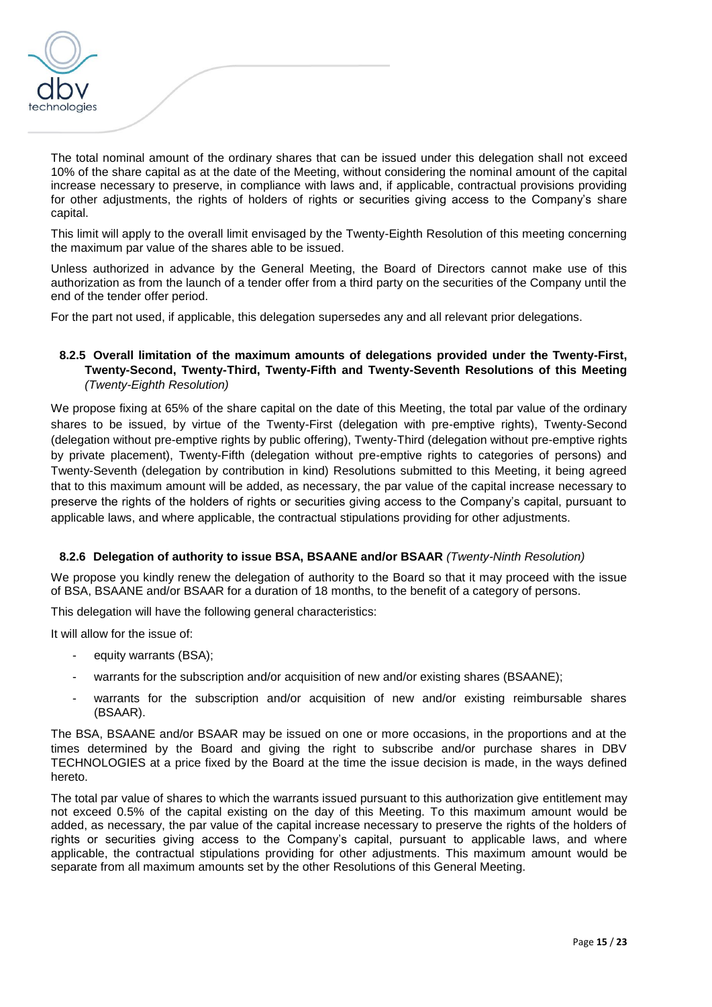

The total nominal amount of the ordinary shares that can be issued under this delegation shall not exceed 10% of the share capital as at the date of the Meeting, without considering the nominal amount of the capital increase necessary to preserve, in compliance with laws and, if applicable, contractual provisions providing for other adjustments, the rights of holders of rights or securities giving access to the Company's share capital.

This limit will apply to the overall limit envisaged by the Twenty-Eighth Resolution of this meeting concerning the maximum par value of the shares able to be issued.

Unless authorized in advance by the General Meeting, the Board of Directors cannot make use of this authorization as from the launch of a tender offer from a third party on the securities of the Company until the end of the tender offer period.

For the part not used, if applicable, this delegation supersedes any and all relevant prior delegations.

# **8.2.5 Overall limitation of the maximum amounts of delegations provided under the Twenty-First, Twenty-Second, Twenty-Third, Twenty-Fifth and Twenty-Seventh Resolutions of this Meeting** *(Twenty-Eighth Resolution)*

We propose fixing at 65% of the share capital on the date of this Meeting, the total par value of the ordinary shares to be issued, by virtue of the Twenty-First (delegation with pre-emptive rights), Twenty-Second (delegation without pre-emptive rights by public offering), Twenty-Third (delegation without pre-emptive rights by private placement), Twenty-Fifth (delegation without pre-emptive rights to categories of persons) and Twenty-Seventh (delegation by contribution in kind) Resolutions submitted to this Meeting, it being agreed that to this maximum amount will be added, as necessary, the par value of the capital increase necessary to preserve the rights of the holders of rights or securities giving access to the Company's capital, pursuant to applicable laws, and where applicable, the contractual stipulations providing for other adjustments.

# **8.2.6 Delegation of authority to issue BSA, BSAANE and/or BSAAR** *(Twenty-Ninth Resolution)*

We propose you kindly renew the delegation of authority to the Board so that it may proceed with the issue of BSA, BSAANE and/or BSAAR for a duration of 18 months, to the benefit of a category of persons.

This delegation will have the following general characteristics:

It will allow for the issue of:

- equity warrants (BSA);
- warrants for the subscription and/or acquisition of new and/or existing shares (BSAANE):
- warrants for the subscription and/or acquisition of new and/or existing reimbursable shares (BSAAR).

The BSA, BSAANE and/or BSAAR may be issued on one or more occasions, in the proportions and at the times determined by the Board and giving the right to subscribe and/or purchase shares in DBV TECHNOLOGIES at a price fixed by the Board at the time the issue decision is made, in the ways defined hereto.

The total par value of shares to which the warrants issued pursuant to this authorization give entitlement may not exceed 0.5% of the capital existing on the day of this Meeting. To this maximum amount would be added, as necessary, the par value of the capital increase necessary to preserve the rights of the holders of rights or securities giving access to the Company's capital, pursuant to applicable laws, and where applicable, the contractual stipulations providing for other adjustments. This maximum amount would be separate from all maximum amounts set by the other Resolutions of this General Meeting.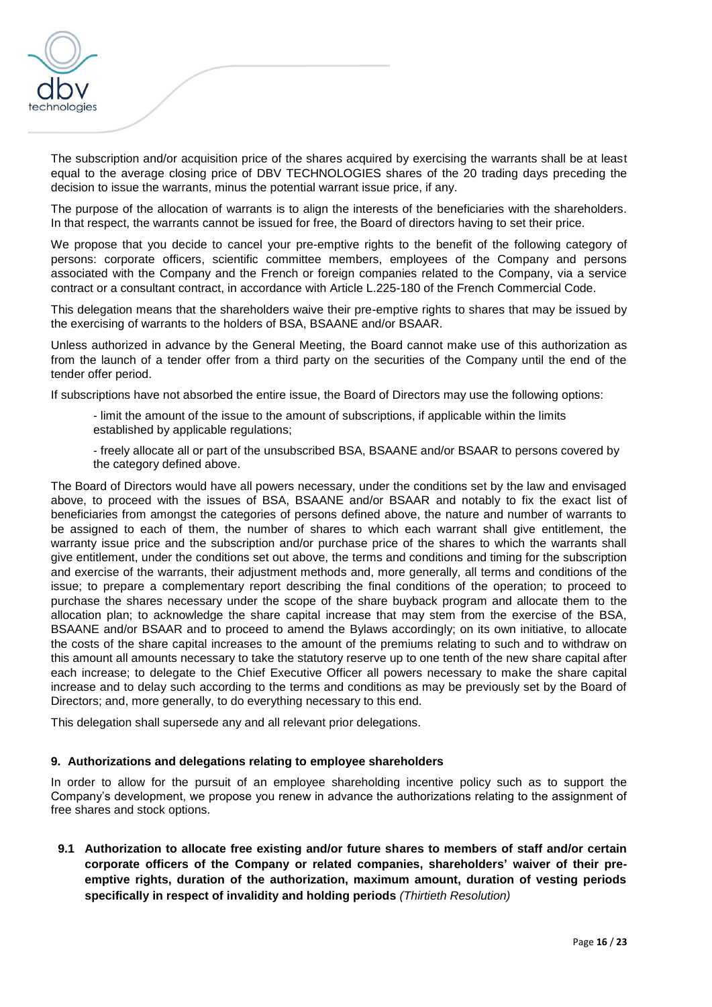

The subscription and/or acquisition price of the shares acquired by exercising the warrants shall be at least equal to the average closing price of DBV TECHNOLOGIES shares of the 20 trading days preceding the decision to issue the warrants, minus the potential warrant issue price, if any.

The purpose of the allocation of warrants is to align the interests of the beneficiaries with the shareholders. In that respect, the warrants cannot be issued for free, the Board of directors having to set their price.

We propose that you decide to cancel your pre-emptive rights to the benefit of the following category of persons: corporate officers, scientific committee members, employees of the Company and persons associated with the Company and the French or foreign companies related to the Company, via a service contract or a consultant contract, in accordance with Article L.225-180 of the French Commercial Code.

This delegation means that the shareholders waive their pre-emptive rights to shares that may be issued by the exercising of warrants to the holders of BSA, BSAANE and/or BSAAR.

Unless authorized in advance by the General Meeting, the Board cannot make use of this authorization as from the launch of a tender offer from a third party on the securities of the Company until the end of the tender offer period.

If subscriptions have not absorbed the entire issue, the Board of Directors may use the following options:

- limit the amount of the issue to the amount of subscriptions, if applicable within the limits established by applicable regulations;

- freely allocate all or part of the unsubscribed BSA, BSAANE and/or BSAAR to persons covered by the category defined above.

The Board of Directors would have all powers necessary, under the conditions set by the law and envisaged above, to proceed with the issues of BSA, BSAANE and/or BSAAR and notably to fix the exact list of beneficiaries from amongst the categories of persons defined above, the nature and number of warrants to be assigned to each of them, the number of shares to which each warrant shall give entitlement, the warranty issue price and the subscription and/or purchase price of the shares to which the warrants shall give entitlement, under the conditions set out above, the terms and conditions and timing for the subscription and exercise of the warrants, their adjustment methods and, more generally, all terms and conditions of the issue; to prepare a complementary report describing the final conditions of the operation; to proceed to purchase the shares necessary under the scope of the share buyback program and allocate them to the allocation plan; to acknowledge the share capital increase that may stem from the exercise of the BSA, BSAANE and/or BSAAR and to proceed to amend the Bylaws accordingly; on its own initiative, to allocate the costs of the share capital increases to the amount of the premiums relating to such and to withdraw on this amount all amounts necessary to take the statutory reserve up to one tenth of the new share capital after each increase; to delegate to the Chief Executive Officer all powers necessary to make the share capital increase and to delay such according to the terms and conditions as may be previously set by the Board of Directors; and, more generally, to do everything necessary to this end.

This delegation shall supersede any and all relevant prior delegations.

#### **9. Authorizations and delegations relating to employee shareholders**

In order to allow for the pursuit of an employee shareholding incentive policy such as to support the Company's development, we propose you renew in advance the authorizations relating to the assignment of free shares and stock options.

**9.1 Authorization to allocate free existing and/or future shares to members of staff and/or certain corporate officers of the Company or related companies, shareholders' waiver of their preemptive rights, duration of the authorization, maximum amount, duration of vesting periods specifically in respect of invalidity and holding periods** *(Thirtieth Resolution)*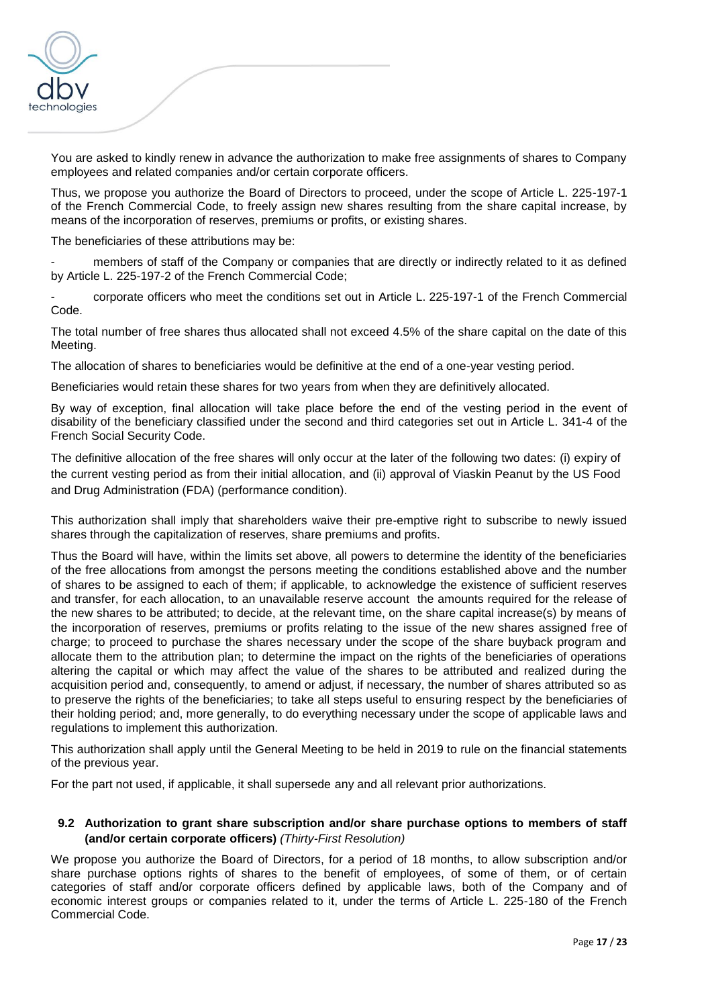

You are asked to kindly renew in advance the authorization to make free assignments of shares to Company employees and related companies and/or certain corporate officers.

Thus, we propose you authorize the Board of Directors to proceed, under the scope of Article L. 225-197-1 of the French Commercial Code, to freely assign new shares resulting from the share capital increase, by means of the incorporation of reserves, premiums or profits, or existing shares.

The beneficiaries of these attributions may be:

members of staff of the Company or companies that are directly or indirectly related to it as defined by Article L. 225-197-2 of the French Commercial Code;

- corporate officers who meet the conditions set out in Article L. 225-197-1 of the French Commercial Code.

The total number of free shares thus allocated shall not exceed 4.5% of the share capital on the date of this Meeting.

The allocation of shares to beneficiaries would be definitive at the end of a one-year vesting period.

Beneficiaries would retain these shares for two years from when they are definitively allocated.

By way of exception, final allocation will take place before the end of the vesting period in the event of disability of the beneficiary classified under the second and third categories set out in Article L. 341-4 of the French Social Security Code.

The definitive allocation of the free shares will only occur at the later of the following two dates: (i) expiry of the current vesting period as from their initial allocation, and (ii) approval of Viaskin Peanut by the US Food and Drug Administration (FDA) (performance condition).

This authorization shall imply that shareholders waive their pre-emptive right to subscribe to newly issued shares through the capitalization of reserves, share premiums and profits.

Thus the Board will have, within the limits set above, all powers to determine the identity of the beneficiaries of the free allocations from amongst the persons meeting the conditions established above and the number of shares to be assigned to each of them; if applicable, to acknowledge the existence of sufficient reserves and transfer, for each allocation, to an unavailable reserve account the amounts required for the release of the new shares to be attributed; to decide, at the relevant time, on the share capital increase(s) by means of the incorporation of reserves, premiums or profits relating to the issue of the new shares assigned free of charge; to proceed to purchase the shares necessary under the scope of the share buyback program and allocate them to the attribution plan; to determine the impact on the rights of the beneficiaries of operations altering the capital or which may affect the value of the shares to be attributed and realized during the acquisition period and, consequently, to amend or adjust, if necessary, the number of shares attributed so as to preserve the rights of the beneficiaries; to take all steps useful to ensuring respect by the beneficiaries of their holding period; and, more generally, to do everything necessary under the scope of applicable laws and regulations to implement this authorization.

This authorization shall apply until the General Meeting to be held in 2019 to rule on the financial statements of the previous year.

For the part not used, if applicable, it shall supersede any and all relevant prior authorizations.

### **9.2 Authorization to grant share subscription and/or share purchase options to members of staff (and/or certain corporate officers)** *(Thirty-First Resolution)*

We propose you authorize the Board of Directors, for a period of 18 months, to allow subscription and/or share purchase options rights of shares to the benefit of employees, of some of them, or of certain categories of staff and/or corporate officers defined by applicable laws, both of the Company and of economic interest groups or companies related to it, under the terms of Article L. 225-180 of the French Commercial Code.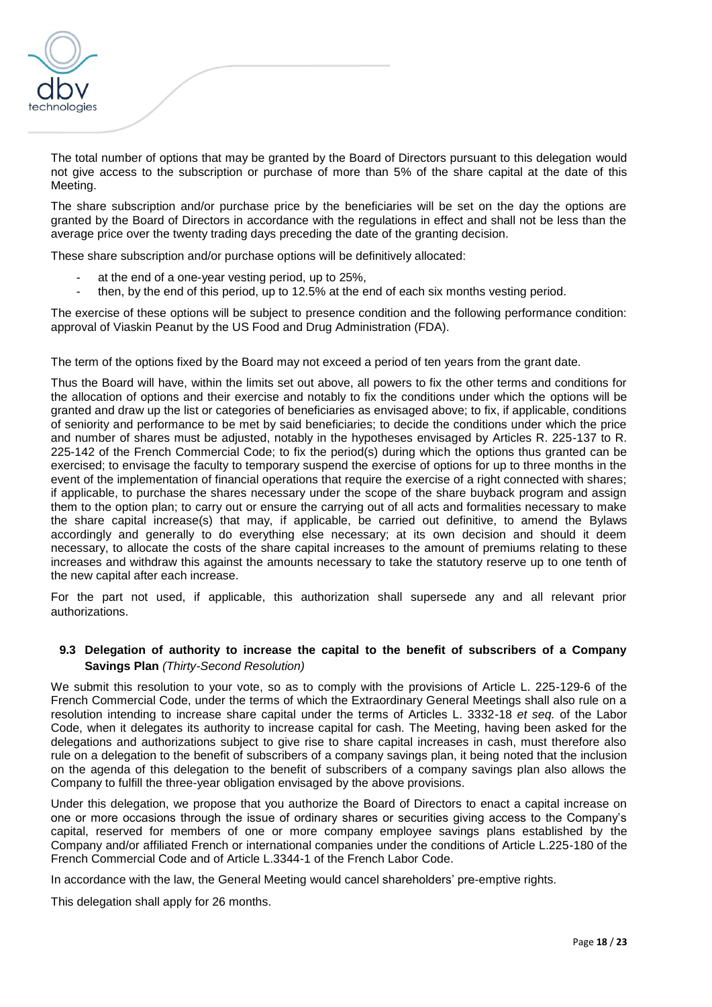

The total number of options that may be granted by the Board of Directors pursuant to this delegation would not give access to the subscription or purchase of more than 5% of the share capital at the date of this Meeting.

The share subscription and/or purchase price by the beneficiaries will be set on the day the options are granted by the Board of Directors in accordance with the regulations in effect and shall not be less than the average price over the twenty trading days preceding the date of the granting decision.

These share subscription and/or purchase options will be definitively allocated:

- at the end of a one-year vesting period, up to 25%,
- then, by the end of this period, up to 12.5% at the end of each six months vesting period.

The exercise of these options will be subject to presence condition and the following performance condition: approval of Viaskin Peanut by the US Food and Drug Administration (FDA).

The term of the options fixed by the Board may not exceed a period of ten years from the grant date.

Thus the Board will have, within the limits set out above, all powers to fix the other terms and conditions for the allocation of options and their exercise and notably to fix the conditions under which the options will be granted and draw up the list or categories of beneficiaries as envisaged above; to fix, if applicable, conditions of seniority and performance to be met by said beneficiaries; to decide the conditions under which the price and number of shares must be adjusted, notably in the hypotheses envisaged by Articles R. 225-137 to R. 225-142 of the French Commercial Code; to fix the period(s) during which the options thus granted can be exercised; to envisage the faculty to temporary suspend the exercise of options for up to three months in the event of the implementation of financial operations that require the exercise of a right connected with shares; if applicable, to purchase the shares necessary under the scope of the share buyback program and assign them to the option plan; to carry out or ensure the carrying out of all acts and formalities necessary to make the share capital increase(s) that may, if applicable, be carried out definitive, to amend the Bylaws accordingly and generally to do everything else necessary; at its own decision and should it deem necessary, to allocate the costs of the share capital increases to the amount of premiums relating to these increases and withdraw this against the amounts necessary to take the statutory reserve up to one tenth of the new capital after each increase.

For the part not used, if applicable, this authorization shall supersede any and all relevant prior authorizations.

#### **9.3 Delegation of authority to increase the capital to the benefit of subscribers of a Company Savings Plan** *(Thirty-Second Resolution)*

We submit this resolution to your vote, so as to comply with the provisions of Article L. 225-129-6 of the French Commercial Code, under the terms of which the Extraordinary General Meetings shall also rule on a resolution intending to increase share capital under the terms of Articles L. 3332-18 *et seq.* of the Labor Code, when it delegates its authority to increase capital for cash. The Meeting, having been asked for the delegations and authorizations subject to give rise to share capital increases in cash, must therefore also rule on a delegation to the benefit of subscribers of a company savings plan, it being noted that the inclusion on the agenda of this delegation to the benefit of subscribers of a company savings plan also allows the Company to fulfill the three-year obligation envisaged by the above provisions.

Under this delegation, we propose that you authorize the Board of Directors to enact a capital increase on one or more occasions through the issue of ordinary shares or securities giving access to the Company's capital, reserved for members of one or more company employee savings plans established by the Company and/or affiliated French or international companies under the conditions of Article L.225-180 of the French Commercial Code and of Article L.3344-1 of the French Labor Code.

In accordance with the law, the General Meeting would cancel shareholders' pre-emptive rights.

This delegation shall apply for 26 months.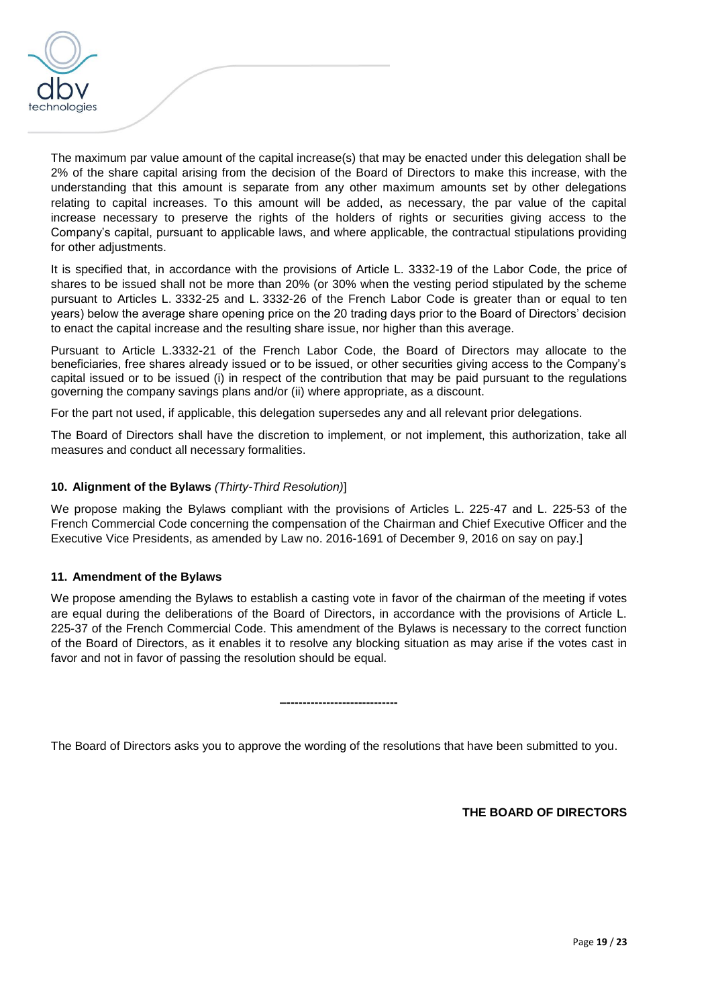

The maximum par value amount of the capital increase(s) that may be enacted under this delegation shall be 2% of the share capital arising from the decision of the Board of Directors to make this increase, with the understanding that this amount is separate from any other maximum amounts set by other delegations relating to capital increases. To this amount will be added, as necessary, the par value of the capital increase necessary to preserve the rights of the holders of rights or securities giving access to the Company's capital, pursuant to applicable laws, and where applicable, the contractual stipulations providing for other adjustments.

It is specified that, in accordance with the provisions of Article L. 3332-19 of the Labor Code, the price of shares to be issued shall not be more than 20% (or 30% when the vesting period stipulated by the scheme pursuant to Articles L. 3332-25 and L. 3332-26 of the French Labor Code is greater than or equal to ten years) below the average share opening price on the 20 trading days prior to the Board of Directors' decision to enact the capital increase and the resulting share issue, nor higher than this average.

Pursuant to Article L.3332-21 of the French Labor Code, the Board of Directors may allocate to the beneficiaries, free shares already issued or to be issued, or other securities giving access to the Company's capital issued or to be issued (i) in respect of the contribution that may be paid pursuant to the regulations governing the company savings plans and/or (ii) where appropriate, as a discount.

For the part not used, if applicable, this delegation supersedes any and all relevant prior delegations.

The Board of Directors shall have the discretion to implement, or not implement, this authorization, take all measures and conduct all necessary formalities.

# **10. Alignment of the Bylaws** *(Thirty-Third Resolution)*]

We propose making the Bylaws compliant with the provisions of Articles L. 225-47 and L. 225-53 of the French Commercial Code concerning the compensation of the Chairman and Chief Executive Officer and the Executive Vice Presidents, as amended by Law no. 2016-1691 of December 9, 2016 on say on pay.]

#### **11. Amendment of the Bylaws**

We propose amending the Bylaws to establish a casting vote in favor of the chairman of the meeting if votes are equal during the deliberations of the Board of Directors, in accordance with the provisions of Article L. 225-37 of the French Commercial Code. This amendment of the Bylaws is necessary to the correct function of the Board of Directors, as it enables it to resolve any blocking situation as may arise if the votes cast in favor and not in favor of passing the resolution should be equal.

The Board of Directors asks you to approve the wording of the resolutions that have been submitted to you.

**–----------------------------**

**THE BOARD OF DIRECTORS**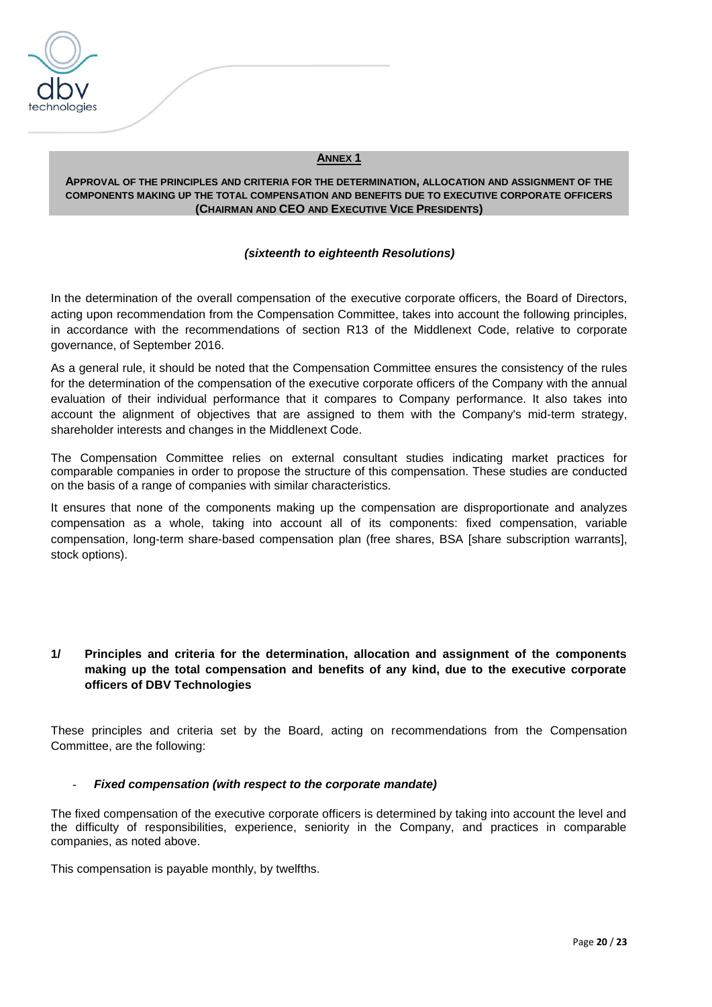

#### **ANNEX 1**

**APPROVAL OF THE PRINCIPLES AND CRITERIA FOR THE DETERMINATION, ALLOCATION AND ASSIGNMENT OF THE COMPONENTS MAKING UP THE TOTAL COMPENSATION AND BENEFITS DUE TO EXECUTIVE CORPORATE OFFICERS (CHAIRMAN AND CEO AND EXECUTIVE VICE PRESIDENTS)**

#### *(sixteenth to eighteenth Resolutions)*

In the determination of the overall compensation of the executive corporate officers, the Board of Directors, acting upon recommendation from the Compensation Committee, takes into account the following principles, in accordance with the recommendations of section R13 of the Middlenext Code, relative to corporate governance, of September 2016.

As a general rule, it should be noted that the Compensation Committee ensures the consistency of the rules for the determination of the compensation of the executive corporate officers of the Company with the annual evaluation of their individual performance that it compares to Company performance. It also takes into account the alignment of objectives that are assigned to them with the Company's mid-term strategy, shareholder interests and changes in the Middlenext Code.

The Compensation Committee relies on external consultant studies indicating market practices for comparable companies in order to propose the structure of this compensation. These studies are conducted on the basis of a range of companies with similar characteristics.

It ensures that none of the components making up the compensation are disproportionate and analyzes compensation as a whole, taking into account all of its components: fixed compensation, variable compensation, long-term share-based compensation plan (free shares, BSA [share subscription warrants], stock options).

# **1/ Principles and criteria for the determination, allocation and assignment of the components making up the total compensation and benefits of any kind, due to the executive corporate officers of DBV Technologies**

These principles and criteria set by the Board, acting on recommendations from the Compensation Committee, are the following:

# **Fixed compensation (with respect to the corporate mandate)**

The fixed compensation of the executive corporate officers is determined by taking into account the level and the difficulty of responsibilities, experience, seniority in the Company, and practices in comparable companies, as noted above.

This compensation is payable monthly, by twelfths.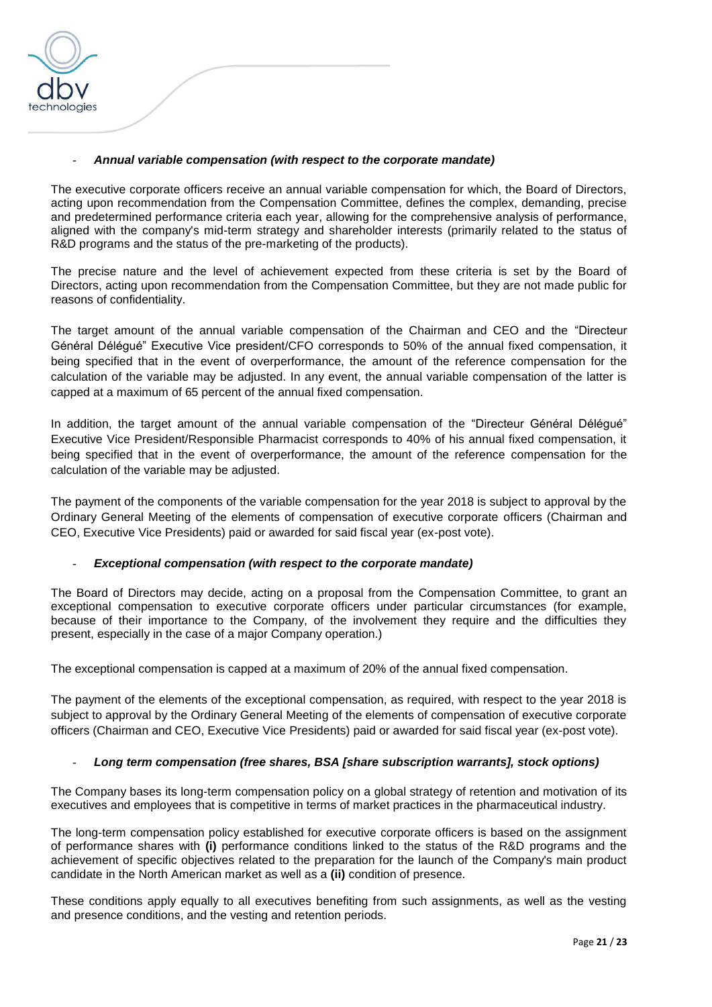

### - *Annual variable compensation (with respect to the corporate mandate)*

The executive corporate officers receive an annual variable compensation for which, the Board of Directors, acting upon recommendation from the Compensation Committee, defines the complex, demanding, precise and predetermined performance criteria each year, allowing for the comprehensive analysis of performance, aligned with the company's mid-term strategy and shareholder interests (primarily related to the status of R&D programs and the status of the pre-marketing of the products).

The precise nature and the level of achievement expected from these criteria is set by the Board of Directors, acting upon recommendation from the Compensation Committee, but they are not made public for reasons of confidentiality.

The target amount of the annual variable compensation of the Chairman and CEO and the "Directeur Général Délégué" Executive Vice president/CFO corresponds to 50% of the annual fixed compensation, it being specified that in the event of overperformance, the amount of the reference compensation for the calculation of the variable may be adjusted. In any event, the annual variable compensation of the latter is capped at a maximum of 65 percent of the annual fixed compensation.

In addition, the target amount of the annual variable compensation of the "Directeur Général Délégué" Executive Vice President/Responsible Pharmacist corresponds to 40% of his annual fixed compensation, it being specified that in the event of overperformance, the amount of the reference compensation for the calculation of the variable may be adjusted.

The payment of the components of the variable compensation for the year 2018 is subject to approval by the Ordinary General Meeting of the elements of compensation of executive corporate officers (Chairman and CEO, Executive Vice Presidents) paid or awarded for said fiscal year (ex-post vote).

#### - *Exceptional compensation (with respect to the corporate mandate)*

The Board of Directors may decide, acting on a proposal from the Compensation Committee, to grant an exceptional compensation to executive corporate officers under particular circumstances (for example, because of their importance to the Company, of the involvement they require and the difficulties they present, especially in the case of a major Company operation.)

The exceptional compensation is capped at a maximum of 20% of the annual fixed compensation.

The payment of the elements of the exceptional compensation, as required, with respect to the year 2018 is subject to approval by the Ordinary General Meeting of the elements of compensation of executive corporate officers (Chairman and CEO, Executive Vice Presidents) paid or awarded for said fiscal year (ex-post vote).

#### - *Long term compensation (free shares, BSA [share subscription warrants], stock options)*

The Company bases its long-term compensation policy on a global strategy of retention and motivation of its executives and employees that is competitive in terms of market practices in the pharmaceutical industry.

The long-term compensation policy established for executive corporate officers is based on the assignment of performance shares with **(i)** performance conditions linked to the status of the R&D programs and the achievement of specific objectives related to the preparation for the launch of the Company's main product candidate in the North American market as well as a **(ii)** condition of presence.

These conditions apply equally to all executives benefiting from such assignments, as well as the vesting and presence conditions, and the vesting and retention periods.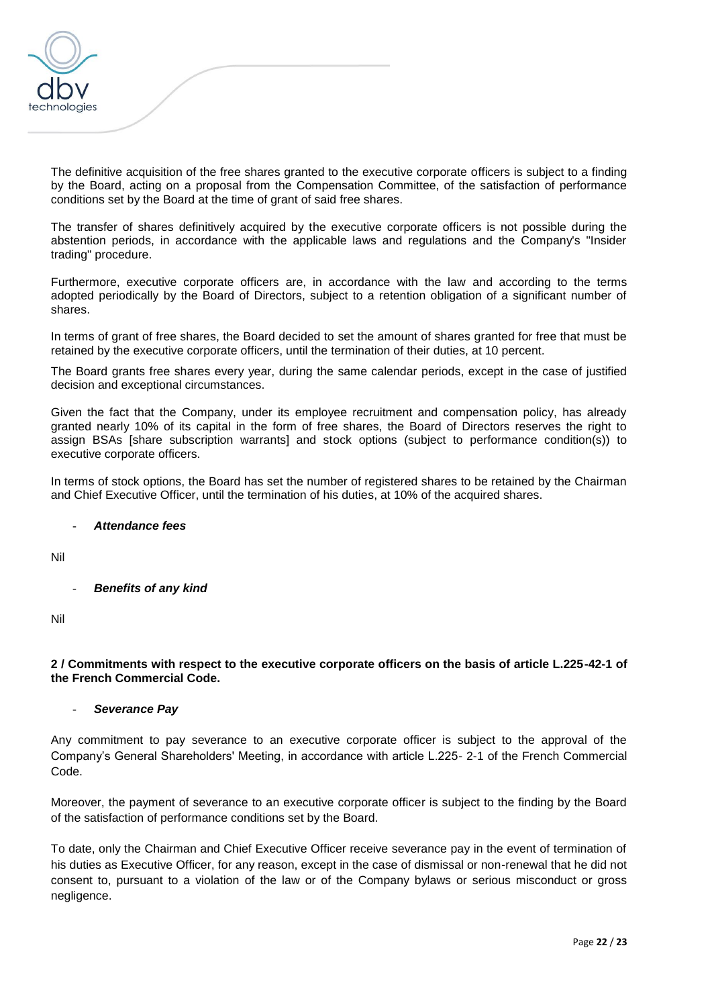

The definitive acquisition of the free shares granted to the executive corporate officers is subject to a finding by the Board, acting on a proposal from the Compensation Committee, of the satisfaction of performance conditions set by the Board at the time of grant of said free shares.

The transfer of shares definitively acquired by the executive corporate officers is not possible during the abstention periods, in accordance with the applicable laws and regulations and the Company's "Insider trading" procedure.

Furthermore, executive corporate officers are, in accordance with the law and according to the terms adopted periodically by the Board of Directors, subject to a retention obligation of a significant number of shares.

In terms of grant of free shares, the Board decided to set the amount of shares granted for free that must be retained by the executive corporate officers, until the termination of their duties, at 10 percent.

The Board grants free shares every year, during the same calendar periods, except in the case of justified decision and exceptional circumstances.

Given the fact that the Company, under its employee recruitment and compensation policy, has already granted nearly 10% of its capital in the form of free shares, the Board of Directors reserves the right to assign BSAs [share subscription warrants] and stock options (subject to performance condition(s)) to executive corporate officers.

In terms of stock options, the Board has set the number of registered shares to be retained by the Chairman and Chief Executive Officer, until the termination of his duties, at 10% of the acquired shares.

#### - *Attendance fees*

Nil

**Benefits of any kind** 

Nil

### **2 / Commitments with respect to the executive corporate officers on the basis of article L.225-42-1 of the French Commercial Code.**

#### - *Severance Pay*

Any commitment to pay severance to an executive corporate officer is subject to the approval of the Company's General Shareholders' Meeting, in accordance with article L.225- 2-1 of the French Commercial Code.

Moreover, the payment of severance to an executive corporate officer is subject to the finding by the Board of the satisfaction of performance conditions set by the Board.

To date, only the Chairman and Chief Executive Officer receive severance pay in the event of termination of his duties as Executive Officer, for any reason, except in the case of dismissal or non-renewal that he did not consent to, pursuant to a violation of the law or of the Company bylaws or serious misconduct or gross negligence.